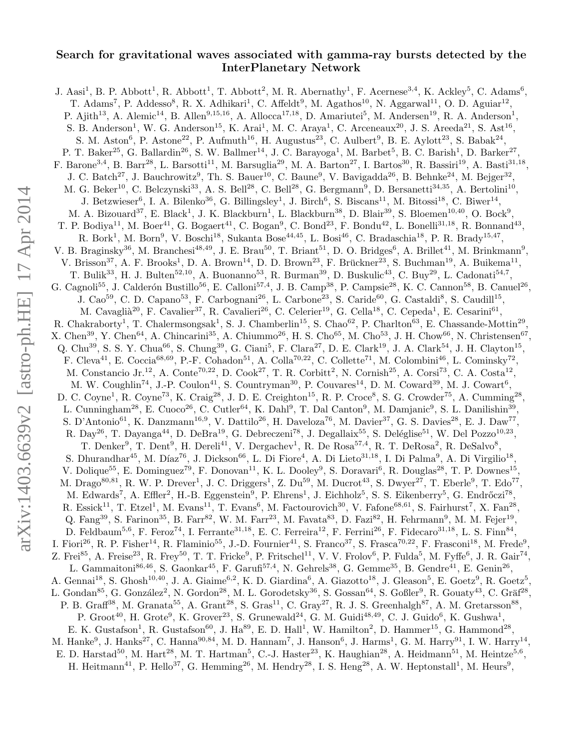# Search for gravitational waves associated with gamma-ray bursts detected by the InterPlanetary Network

J. Aasi<sup>1</sup>, B. P. Abbott<sup>1</sup>, R. Abbott<sup>1</sup>, T. Abbott<sup>2</sup>, M. R. Abernathy<sup>1</sup>, F. Acernese<sup>3,4</sup>, K. Ackley<sup>5</sup>, C. Adams<sup>6</sup>, T. Adams<sup>7</sup>, P. Addesso<sup>8</sup>, R. X. Adhikari<sup>1</sup>, C. Affeldt<sup>9</sup>, M. Agathos<sup>10</sup>, N. Aggarwal<sup>11</sup>, O. D. Aguiar<sup>12</sup>, P. Ajith<sup>13</sup>, A. Alemic<sup>14</sup>, B. Allen<sup>9,15,16</sup>, A. Allocca<sup>17,18</sup>, D. Amariutei<sup>5</sup>, M. Andersen<sup>19</sup>, R. A. Anderson<sup>1</sup>, S. B. Anderson<sup>1</sup>, W. G. Anderson<sup>15</sup>, K. Arai<sup>1</sup>, M. C. Araya<sup>1</sup>, C. Arceneaux<sup>20</sup>, J. S. Areeda<sup>21</sup>, S. Ast<sup>16</sup>, S. M. Aston<sup>6</sup>, P. Astone<sup>22</sup>, P. Aufmuth<sup>16</sup>, H. Augustus<sup>23</sup>, C. Aulbert<sup>9</sup>, B. E. Aylott<sup>23</sup>, S. Babak<sup>24</sup>, P. T. Baker<sup>25</sup>, G. Ballardin<sup>26</sup>, S. W. Ballmer<sup>14</sup>, J. C. Barayoga<sup>1</sup>, M. Barbet<sup>5</sup>, B. C. Barish<sup>1</sup>, D. Barker<sup>27</sup>, F. Barone<sup>3,4</sup>, B. Barr<sup>28</sup>, L. Barsotti<sup>11</sup>, M. Barsuglia<sup>29</sup>, M. A. Barton<sup>27</sup>, I. Bartos<sup>30</sup>, R. Bassiri<sup>19</sup>, A. Basti<sup>31,18</sup>, J. C. Batch<sup>27</sup>, J. Bauchrowitz<sup>9</sup>, Th. S. Bauer<sup>10</sup>, C. Baune<sup>9</sup>, V. Bavigadda<sup>26</sup>, B. Behnke<sup>24</sup>, M. Bejger<sup>32</sup>, M. G. Beker<sup>10</sup>, C. Belczynski<sup>33</sup>, A. S. Bell<sup>28</sup>, C. Bell<sup>28</sup>, G. Bergmann<sup>9</sup>, D. Bersanetti<sup>34,35</sup>, A. Bertolini<sup>10</sup>, J. Betzwieser<sup>6</sup>, I. A. Bilenko<sup>36</sup>, G. Billingsley<sup>1</sup>, J. Birch<sup>6</sup>, S. Biscans<sup>11</sup>, M. Bitossi<sup>18</sup>, C. Biwer<sup>14</sup>, M. A. Bizouard<sup>37</sup>, E. Black<sup>1</sup>, J. K. Blackburn<sup>1</sup>, L. Blackburn<sup>38</sup>, D. Blair<sup>39</sup>, S. Bloemen<sup>10,40</sup>, O. Bock<sup>9</sup>, T. P. Bodiya<sup>11</sup>, M. Boer<sup>41</sup>, G. Bogaert<sup>41</sup>, C. Bogan<sup>9</sup>, C. Bond<sup>23</sup>, F. Bondu<sup>42</sup>, L. Bonelli<sup>31,18</sup>, R. Bonnand<sup>43</sup>, R. Bork<sup>1</sup>, M. Born<sup>9</sup>, V. Boschi<sup>18</sup>, Sukanta Bose<sup>44,45</sup>, L. Bosi<sup>46</sup>, C. Bradaschia<sup>18</sup>, P. R. Brady<sup>15,47</sup>, V. B. Braginsky<sup>36</sup>, M. Branchesi<sup>48,49</sup>, J. E. Brau<sup>50</sup>, T. Briant<sup>51</sup>, D. O. Bridges<sup>6</sup>, A. Brillet<sup>41</sup>, M. Brinkmann<sup>9</sup>, V. Brisson<sup>37</sup>, A. F. Brooks<sup>1</sup>, D. A. Brown<sup>14</sup>, D. D. Brown<sup>23</sup>, F. Brückner<sup>23</sup>, S. Buchman<sup>19</sup>, A. Buikema<sup>11</sup>, T. Bulik<sup>33</sup>, H. J. Bulten<sup>52,10</sup>, A. Buonanno<sup>53</sup>, R. Burman<sup>39</sup>, D. Buskulic<sup>43</sup>, C. Buy<sup>29</sup>, L. Cadonati<sup>54,7</sup>, G. Cagnoli<sup>55</sup>, J. Calderón Bustillo<sup>56</sup>, E. Calloni<sup>57,4</sup>, J. B. Camp<sup>38</sup>, P. Campsie<sup>28</sup>, K. C. Cannon<sup>58</sup>, B. Canuel<sup>26</sup>, J. Cao<sup>59</sup>, C. D. Capano<sup>53</sup>, F. Carbognani<sup>26</sup>, L. Carbone<sup>23</sup>, S. Caride<sup>60</sup>, G. Castaldi<sup>8</sup>, S. Caudill<sup>15</sup>, M. Cavaglià<sup>20</sup>, F. Cavalier<sup>37</sup>, R. Cavalieri<sup>26</sup>, C. Celerier<sup>19</sup>, G. Cella<sup>18</sup>, C. Cepeda<sup>1</sup>, E. Cesarini<sup>61</sup>, R. Chakraborty<sup>1</sup>, T. Chalermsongsak<sup>1</sup>, S. J. Chamberlin<sup>15</sup>, S. Chao<sup>62</sup>, P. Charlton<sup>63</sup>, E. Chassande-Mottin<sup>29</sup>, X. Chen<sup>39</sup>, Y. Chen<sup>64</sup>, A. Chincarini<sup>35</sup>, A. Chiummo<sup>26</sup>, H. S. Cho<sup>65</sup>, M. Cho<sup>53</sup>, J. H. Chow<sup>66</sup>, N. Christensen<sup>67</sup>, Q. Chu<sup>39</sup>, S. S. Y. Chua<sup>66</sup>, S. Chung<sup>39</sup>, G. Ciani<sup>5</sup>, F. Clara<sup>27</sup>, D. E. Clark<sup>19</sup>, J. A. Clark<sup>54</sup>, J. H. Clayton<sup>15</sup>, F. Cleva<sup>41</sup>, E. Coccia<sup>68,69</sup>, P.-F. Cohadon<sup>51</sup>, A. Colla<sup>70,22</sup>, C. Collette<sup>71</sup>, M. Colombini<sup>46</sup>, L. Cominsky<sup>72</sup>, M. Constancio Jr.<sup>12</sup>, A. Conte<sup>70,22</sup>, D. Cook<sup>27</sup>, T. R. Corbitt<sup>2</sup>, N. Cornish<sup>25</sup>, A. Corsi<sup>73</sup>, C. A. Costa<sup>12</sup>, M. W. Coughlin<sup>74</sup>, J.-P. Coulon<sup>41</sup>, S. Countryman<sup>30</sup>, P. Couvares<sup>14</sup>, D. M. Coward<sup>39</sup>, M. J. Cowart<sup>6</sup>, D. C. Coyne<sup>1</sup>, R. Coyne<sup>73</sup>, K. Craig<sup>28</sup>, J. D. E. Creighton<sup>15</sup>, R. P. Croce<sup>8</sup>, S. G. Crowder<sup>75</sup>, A. Cumming<sup>28</sup>, L. Cunningham<sup>28</sup>, E. Cuoco<sup>26</sup>, C. Cutler<sup>64</sup>, K. Dahl<sup>9</sup>, T. Dal Canton<sup>9</sup>, M. Damjanic<sup>9</sup>, S. L. Danilishin<sup>39</sup>, S. D'Antonio<sup>61</sup>, K. Danzmann<sup>16,9</sup>, V. Dattilo<sup>26</sup>, H. Daveloza<sup>76</sup>, M. Davier<sup>37</sup>, G. S. Davies<sup>28</sup>, E. J. Daw<sup>77</sup>, R. Day<sup>26</sup>, T. Dayanga<sup>44</sup>, D. DeBra<sup>19</sup>, G. Debreczeni<sup>78</sup>, J. Degallaix<sup>55</sup>, S. Deléglise<sup>51</sup>, W. Del Pozzo<sup>10,23</sup>, T. Denker<sup>9</sup>, T. Dent<sup>9</sup>, H. Dereli<sup>41</sup>, V. Dergachev<sup>1</sup>, R. De Rosa<sup>57,4</sup>, R. T. DeRosa<sup>2</sup>, R. DeSalvo<sup>8</sup>, S. Dhurandhar<sup>45</sup>, M. Díaz<sup>76</sup>, J. Dickson<sup>66</sup>, L. Di Fiore<sup>4</sup>, A. Di Lieto<sup>31,18</sup>, I. Di Palma<sup>9</sup>, A. Di Virgilio<sup>18</sup>, V. Dolique<sup>55</sup>, E. Dominguez<sup>79</sup>, F. Donovan<sup>11</sup>, K. L. Dooley<sup>9</sup>, S. Doravari<sup>6</sup>, R. Douglas<sup>28</sup>, T. P. Downes<sup>15</sup>, M. Drago<sup>80,81</sup>, R. W. P. Drever<sup>1</sup>, J. C. Driggers<sup>1</sup>, Z. Du<sup>59</sup>, M. Ducrot<sup>43</sup>, S. Dwyer<sup>27</sup>, T. Eberle<sup>9</sup>, T. Edo<sup>77</sup>, M. Edwards<sup>7</sup>, A. Effler<sup>2</sup>, H.-B. Eggenstein<sup>9</sup>, P. Ehrens<sup>1</sup>, J. Eichholz<sup>5</sup>, S. S. Eikenberry<sup>5</sup>, G. Endrőczi<sup>78</sup>, R. Essick<sup>11</sup>, T. Etzel<sup>1</sup>, M. Evans<sup>11</sup>, T. Evans<sup>6</sup>, M. Factourovich<sup>30</sup>, V. Fafone<sup>68,61</sup>, S. Fairhurst<sup>7</sup>, X. Fan<sup>28</sup>, Q. Fang<sup>39</sup>, S. Farinon<sup>35</sup>, B. Farr<sup>82</sup>, W. M. Farr<sup>23</sup>, M. Favata<sup>83</sup>, D. Fazi<sup>82</sup>, H. Fehrmann<sup>9</sup>, M. M. Fejer<sup>19</sup>, D. Feldbaum<sup>5,6</sup>, F. Feroz<sup>74</sup>, I. Ferrante<sup>31,18</sup>, E. C. Ferreira<sup>12</sup>, F. Ferrini<sup>26</sup>, F. Fidecaro<sup>31,18</sup>, L. S. Finn<sup>84</sup>, I. Fiori<sup>26</sup>, R. P. Fisher<sup>14</sup>, R. Flaminio<sup>55</sup>, J.-D. Fournier<sup>41</sup>, S. Franco<sup>37</sup>, S. Frasca<sup>70,22</sup>, F. Frasconi<sup>18</sup>, M. Frede<sup>9</sup>, Z. Frei<sup>85</sup>, A. Freise<sup>23</sup>, R. Frey<sup>50</sup>, T. T. Fricke<sup>9</sup>, P. Fritschel<sup>11</sup>, V. V. Frolov<sup>6</sup>, P. Fulda<sup>5</sup>, M. Fyffe<sup>6</sup>, J. R. Gair<sup>74</sup>, L. Gammaitoni<sup>86,46</sup>, S. Gaonkar<sup>45</sup>, F. Garufi<sup>57,4</sup>, N. Gehrels<sup>38</sup>, G. Gemme<sup>35</sup>, B. Gendre<sup>41</sup>, E. Genin<sup>26</sup>, A. Gennai<sup>18</sup>, S. Ghosh<sup>10,40</sup>, J. A. Giaime<sup>6,2</sup>, K. D. Giardina<sup>6</sup>, A. Giazotto<sup>18</sup>, J. Gleason<sup>5</sup>, E. Goetz<sup>9</sup>, R. Goetz<sup>5</sup>, L. Gondan<sup>85</sup>, G. González<sup>2</sup>, N. Gordon<sup>28</sup>, M. L. Gorodetsky<sup>36</sup>, S. Gossan<sup>64</sup>, S. Goßler<sup>9</sup>, R. Gouaty<sup>43</sup>, C. Gräf<sup>28</sup>, P. B. Graff<sup>38</sup>, M. Granata<sup>55</sup>, A. Grant<sup>28</sup>, S. Gras<sup>11</sup>, C. Gray<sup>27</sup>, R. J. S. Greenhalgh<sup>87</sup>, A. M. Gretarsson<sup>88</sup>, P. Groot<sup>40</sup>, H. Grote<sup>9</sup>, K. Grover<sup>23</sup>, S. Grunewald<sup>24</sup>, G. M. Guidi<sup>48,49</sup>, C. J. Guido<sup>6</sup>, K. Gushwa<sup>1</sup>, E. K. Gustafson<sup>1</sup>, R. Gustafson<sup>60</sup>, J. Ha<sup>89</sup>, E. D. Hall<sup>1</sup>, W. Hamilton<sup>2</sup>, D. Hammer<sup>15</sup>, G. Hammond<sup>28</sup>, M. Hanke<sup>9</sup>, J. Hanks<sup>27</sup>, C. Hanna<sup>90,84</sup>, M. D. Hannam<sup>7</sup>, J. Hanson<sup>6</sup>, J. Harms<sup>1</sup>, G. M. Harry<sup>91</sup>, I. W. Harry<sup>14</sup>, E. D. Harstad<sup>50</sup>, M. Hart<sup>28</sup>, M. T. Hartman<sup>5</sup>, C.-J. Haster<sup>23</sup>, K. Haughian<sup>28</sup>, A. Heidmann<sup>51</sup>, M. Heintze<sup>5,6</sup>, H. Heitmann<sup>41</sup>, P. Hello<sup>37</sup>, G. Hemming<sup>26</sup>, M. Hendry<sup>28</sup>, I. S. Heng<sup>28</sup>, A. W. Heptonstall<sup>1</sup>, M. Heurs<sup>9</sup>,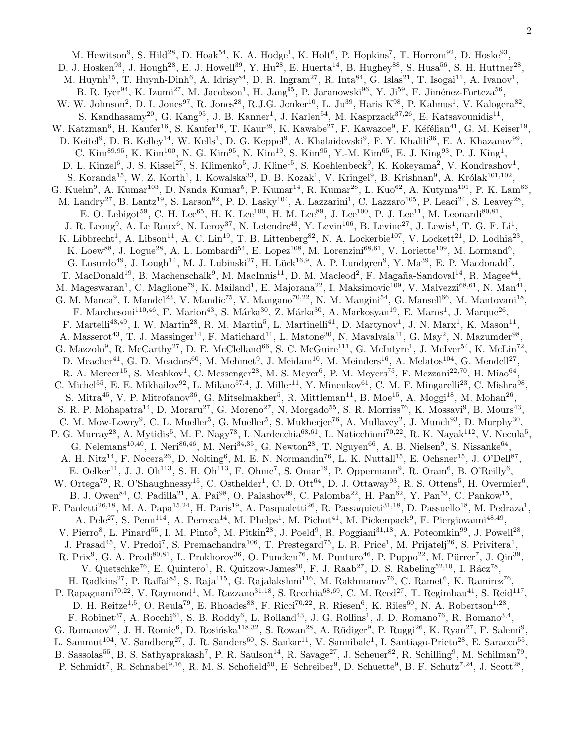M. Hewitson<sup>9</sup>, S. Hild<sup>28</sup>, D. Hoak<sup>54</sup>, K. A. Hodge<sup>1</sup>, K. Holt<sup>6</sup>, P. Hopkins<sup>7</sup>, T. Horrom<sup>92</sup>, D. Hoske<sup>93</sup>, D. J. Hosken<sup>93</sup>, J. Hough<sup>28</sup>, E. J. Howell<sup>39</sup>, Y. Hu<sup>28</sup>, E. Huerta<sup>14</sup>, B. Hughey<sup>88</sup>, S. Husa<sup>56</sup>, S. H. Huttner<sup>28</sup>, M. Huynh<sup>15</sup>, T. Huynh-Dinh<sup>6</sup>, A. Idrisy<sup>84</sup>, D. R. Ingram<sup>27</sup>, R. Inta<sup>84</sup>, G. Islas<sup>21</sup>, T. Isogai<sup>11</sup>, A. Ivanov<sup>1</sup>, B. R. Iyer<sup>94</sup>, K. Izumi<sup>27</sup>, M. Jacobson<sup>1</sup>, H. Jang<sup>95</sup>, P. Jaranowski<sup>96</sup>, Y. Ji<sup>59</sup>, F. Jiménez-Forteza<sup>56</sup>, W. W. Johnson<sup>2</sup>, D. I. Jones<sup>97</sup>, R. Jones<sup>28</sup>, R.J.G. Jonker<sup>10</sup>, L. Ju<sup>39</sup>, Haris K<sup>98</sup>, P. Kalmus<sup>1</sup>, V. Kalogera<sup>82</sup>, S. Kandhasamy<sup>20</sup>, G. Kang<sup>95</sup>, J. B. Kanner<sup>1</sup>, J. Karlen<sup>54</sup>, M. Kasprzack<sup>37,26</sup>, E. Katsavounidis<sup>11</sup>, W. Katzman<sup>6</sup>, H. Kaufer<sup>16</sup>, S. Kaufer<sup>16</sup>, T. Kaur<sup>39</sup>, K. Kawabe<sup>27</sup>, F. Kawazoe<sup>9</sup>, F. Kéfélian<sup>41</sup>, G. M. Keiser<sup>19</sup>, D. Keitel<sup>9</sup>, D. B. Kelley<sup>14</sup>, W. Kells<sup>1</sup>, D. G. Keppel<sup>9</sup>, A. Khalaidovski<sup>9</sup>, F. Y. Khalili<sup>36</sup>, E. A. Khazanov<sup>99</sup>, C. Kim<sup>89,95</sup>, K. Kim<sup>100</sup>, N. G. Kim<sup>95</sup>, N. Kim<sup>19</sup>, S. Kim<sup>95</sup>, Y.-M. Kim<sup>65</sup>, E. J. King<sup>93</sup>, P. J. King<sup>1</sup>, D. L. Kinzel<sup>6</sup>, J. S. Kissel<sup>27</sup>, S. Klimenko<sup>5</sup>, J. Kline<sup>15</sup>, S. Koehlenbeck<sup>9</sup>, K. Kokeyama<sup>2</sup>, V. Kondrashov<sup>1</sup>, S. Koranda<sup>15</sup>, W. Z. Korth<sup>1</sup>, I. Kowalska<sup>33</sup>, D. B. Kozak<sup>1</sup>, V. Kringel<sup>9</sup>, B. Krishnan<sup>9</sup>, A. Królak<sup>101,102</sup>, G. Kuehn<sup>9</sup>, A. Kumar<sup>103</sup>, D. Nanda Kumar<sup>5</sup>, P. Kumar<sup>14</sup>, R. Kumar<sup>28</sup>, L. Kuo<sup>62</sup>, A. Kutynia<sup>101</sup>, P. K. Lam<sup>66</sup>, M. Landry<sup>27</sup>, B. Lantz<sup>19</sup>, S. Larson<sup>82</sup>, P. D. Lasky<sup>104</sup>, A. Lazzarini<sup>1</sup>, C. Lazzaro<sup>105</sup>, P. Leaci<sup>24</sup>, S. Leavey<sup>28</sup>, E. O. Lebigot<sup>59</sup>, C. H. Lee<sup>65</sup>, H. K. Lee<sup>100</sup>, H. M. Lee<sup>89</sup>, J. Lee<sup>100</sup>, P. J. Lee<sup>11</sup>, M. Leonardi<sup>80,81</sup>, J. R. Leong<sup>9</sup>, A. Le Roux<sup>6</sup>, N. Leroy<sup>37</sup>, N. Letendre<sup>43</sup>, Y. Levin<sup>106</sup>, B. Levine<sup>27</sup>, J. Lewis<sup>1</sup>, T. G. F. Li<sup>1</sup>, K. Libbrecht<sup>1</sup>, A. Libson<sup>11</sup>, A. C. Lin<sup>19</sup>, T. B. Littenberg<sup>82</sup>, N. A. Lockerbie<sup>107</sup>, V. Lockett<sup>21</sup>, D. Lodhia<sup>23</sup>, K. Loew<sup>88</sup>, J. Logue<sup>28</sup>, A. L. Lombardi<sup>54</sup>, E. Lopez<sup>108</sup>, M. Lorenzini<sup>68,61</sup>, V. Loriette<sup>109</sup>, M. Lormand<sup>6</sup>, G. Losurdo<sup>49</sup>, J. Lough<sup>14</sup>, M. J. Lubinski<sup>27</sup>, H. Lück<sup>16,9</sup>, A. P. Lundgren<sup>9</sup>, Y. Ma<sup>39</sup>, E. P. Macdonald<sup>7</sup>, T. MacDonald<sup>19</sup>, B. Machenschalk<sup>9</sup>, M. MacInnis<sup>11</sup>, D. M. Macleod<sup>2</sup>, F. Magaña-Sandoval<sup>14</sup>, R. Magee<sup>44</sup>, M. Mageswaran<sup>1</sup>, C. Maglione<sup>79</sup>, K. Mailand<sup>1</sup>, E. Majorana<sup>22</sup>, I. Maksimovic<sup>109</sup>, V. Malvezzi<sup>68,61</sup>, N. Man<sup>41</sup>, G. M. Manca<sup>9</sup>, I. Mandel<sup>23</sup>, V. Mandic<sup>75</sup>, V. Mangano<sup>70,22</sup>, N. M. Mangini<sup>54</sup>, G. Mansell<sup>66</sup>, M. Mantovani<sup>18</sup>, F. Marchesoni<sup>110,46</sup>, F. Marion<sup>43</sup>, S. Márka<sup>30</sup>, Z. Márka<sup>30</sup>, A. Markosyan<sup>19</sup>, E. Maros<sup>1</sup>, J. Marque<sup>26</sup>, F. Martelli<sup>48,49</sup>, I. W. Martin<sup>28</sup>, R. M. Martin<sup>5</sup>, L. Martinelli<sup>41</sup>, D. Martynov<sup>1</sup>, J. N. Marx<sup>1</sup>, K. Mason<sup>11</sup>, A. Masserot<sup>43</sup>, T. J. Massinger<sup>14</sup>, F. Matichard<sup>11</sup>, L. Matone<sup>30</sup>, N. Mavalvala<sup>11</sup>, G. May<sup>2</sup>, N. Mazumder<sup>98</sup>, G. Mazzolo<sup>9</sup>, R. McCarthy<sup>27</sup>, D. E. McClelland<sup>66</sup>, S. C. McGuire<sup>111</sup>, G. McIntyre<sup>1</sup>, J. McIver<sup>54</sup>, K. McLin<sup>72</sup>, D. Meacher<sup>41</sup>, G. D. Meadors<sup>60</sup>, M. Mehmet<sup>9</sup>, J. Meidam<sup>10</sup>, M. Meinders<sup>16</sup>, A. Melatos<sup>104</sup>, G. Mendell<sup>27</sup>, R. A. Mercer<sup>15</sup>, S. Meshkov<sup>1</sup>, C. Messenger<sup>28</sup>, M. S. Meyer<sup>6</sup>, P. M. Meyers<sup>75</sup>, F. Mezzani<sup>22,70</sup>, H. Miao<sup>64</sup>, C. Michel<sup>55</sup>, E. E. Mikhailov<sup>92</sup>, L. Milano<sup>57,4</sup>, J. Miller<sup>11</sup>, Y. Minenkov<sup>61</sup>, C. M. F. Mingarelli<sup>23</sup>, C. Mishra<sup>98</sup>, S. Mitra<sup>45</sup>, V. P. Mitrofanov<sup>36</sup>, G. Mitselmakher<sup>5</sup>, R. Mittleman<sup>11</sup>, B. Moe<sup>15</sup>, A. Moggi<sup>18</sup>, M. Mohan<sup>26</sup>, S. R. P. Mohapatra<sup>14</sup>, D. Moraru<sup>27</sup>, G. Moreno<sup>27</sup>, N. Morgado<sup>55</sup>, S. R. Morriss<sup>76</sup>, K. Mossavi<sup>9</sup>, B. Mours<sup>43</sup>, C. M. Mow-Lowry<sup>9</sup>, C. L. Mueller<sup>5</sup>, G. Mueller<sup>5</sup>, S. Mukherjee<sup>76</sup>, A. Mullavey<sup>2</sup>, J. Munch<sup>93</sup>, D. Murphy<sup>30</sup>, P. G. Murray<sup>28</sup>, A. Mytidis<sup>5</sup>, M. F. Nagy<sup>78</sup>, I. Nardecchia<sup>68,61</sup>, L. Naticchioni<sup>70,22</sup>, R. K. Nayak<sup>112</sup>, V. Necula<sup>5</sup>, G. Nelemans<sup>10,40</sup>, I. Neri<sup>86,46</sup>, M. Neri<sup>34,35</sup>, G. Newton<sup>28</sup>, T. Nguyen<sup>66</sup>, A. B. Nielsen<sup>9</sup>, S. Nissanke<sup>64</sup>, A. H. Nitz<sup>14</sup>, F. Nocera<sup>26</sup>, D. Nolting<sup>6</sup>, M. E. N. Normandin<sup>76</sup>, L. K. Nuttall<sup>15</sup>, E. Ochsner<sup>15</sup>, J. O'Dell<sup>87</sup>, E. Oelker<sup>11</sup>, J. J. Oh<sup>113</sup>, S. H. Oh<sup>113</sup>, F. Ohme<sup>7</sup>, S. Omar<sup>19</sup>, P. Oppermann<sup>9</sup>, R. Oram<sup>6</sup>, B. O'Reilly<sup>6</sup>, W. Ortega<sup>79</sup>, R. O'Shaughnessy<sup>15</sup>, C. Osthelder<sup>1</sup>, C. D. Ott<sup>64</sup>, D. J. Ottaway<sup>93</sup>, R. S. Ottens<sup>5</sup>, H. Overmier<sup>6</sup>, B. J. Owen<sup>84</sup>, C. Padilla<sup>21</sup>, A. Pai<sup>98</sup>, O. Palashov<sup>99</sup>, C. Palomba<sup>22</sup>, H. Pan<sup>62</sup>, Y. Pan<sup>53</sup>, C. Pankow<sup>15</sup>, F. Paoletti<sup>26,18</sup>, M. A. Papa<sup>15,24</sup>, H. Paris<sup>19</sup>, A. Pasqualetti<sup>26</sup>, R. Passaquieti<sup>31,18</sup>, D. Passuello<sup>18</sup>, M. Pedraza<sup>1</sup>, A. Pele<sup>27</sup>, S. Penn<sup>114</sup>, A. Perreca<sup>14</sup>, M. Phelps<sup>1</sup>, M. Pichot<sup>41</sup>, M. Pickenpack<sup>9</sup>, F. Piergiovanni<sup>48,49</sup>, V. Pierro<sup>8</sup>, L. Pinard<sup>55</sup>, I. M. Pinto<sup>8</sup>, M. Pitkin<sup>28</sup>, J. Poeld<sup>9</sup>, R. Poggiani<sup>31,18</sup>, A. Poteomkin<sup>99</sup>, J. Powell<sup>28</sup>, J. Prasad<sup>45</sup>, V. Predoi<sup>7</sup>, S. Premachandra<sup>106</sup>, T. Prestegard<sup>75</sup>, L. R. Price<sup>1</sup>, M. Prijatelj<sup>26</sup>, S. Privitera<sup>1</sup>, R. Prix<sup>9</sup>, G. A. Prodi<sup>80,81</sup>, L. Prokhorov<sup>36</sup>, O. Puncken<sup>76</sup>, M. Punturo<sup>46</sup>, P. Puppo<sup>22</sup>, M. Pürrer<sup>7</sup>, J. Qin<sup>39</sup>, V. Quetschke<sup>76</sup>, E. Quintero<sup>1</sup>, R. Quitzow-James<sup>50</sup>, F. J. Raab<sup>27</sup>, D. S. Rabeling<sup>52,10</sup>, I. Rácz<sup>78</sup>, H. Radkins<sup>27</sup>, P. Raffai<sup>85</sup>, S. Raja<sup>115</sup>, G. Rajalakshmi<sup>116</sup>, M. Rakhmanov<sup>76</sup>, C. Ramet<sup>6</sup>, K. Ramirez<sup>76</sup>, P. Rapagnani<sup>70,22</sup>, V. Raymond<sup>1</sup>, M. Razzano<sup>31,18</sup>, S. Recchia<sup>68,69</sup>, C. M. Reed<sup>27</sup>, T. Regimbau<sup>41</sup>, S. Reid<sup>117</sup>, D. H. Reitze<sup>1,5</sup>, O. Reula<sup>79</sup>, E. Rhoades<sup>88</sup>, F. Ricci<sup>70,22</sup>, R. Riesen<sup>6</sup>, K. Riles<sup>60</sup>, N. A. Robertson<sup>1,28</sup>, F. Robinet<sup>37</sup>, A. Rocchi<sup>61</sup>, S. B. Roddy<sup>6</sup>, L. Rolland<sup>43</sup>, J. G. Rollins<sup>1</sup>, J. D. Romano<sup>76</sup>, R. Romano<sup>3,4</sup>, G. Romanov<sup>92</sup>, J. H. Romie<sup>6</sup>, D. Rosińska<sup>118,32</sup>, S. Rowan<sup>28</sup>, A. Rüdiger<sup>9</sup>, P. Ruggi<sup>26</sup>, K. Ryan<sup>27</sup>, F. Salemi<sup>9</sup>, L. Sammut<sup>104</sup>, V. Sandberg<sup>27</sup>, J. R. Sanders<sup>60</sup>, S. Sankar<sup>11</sup>, V. Sannibale<sup>1</sup>, I. Santiago-Prieto<sup>28</sup>, E. Saracco<sup>55</sup>, B. Sassolas<sup>55</sup>, B. S. Sathyaprakash<sup>7</sup>, P. R. Saulson<sup>14</sup>, R. Savage<sup>27</sup>, J. Scheuer<sup>82</sup>, R. Schilling<sup>9</sup>, M. Schilman<sup>79</sup>, P. Schmidt<sup>7</sup>, R. Schnabel<sup>9,16</sup>, R. M. S. Schofield<sup>50</sup>, E. Schreiber<sup>9</sup>, D. Schuette<sup>9</sup>, B. F. Schutz<sup>7,24</sup>, J. Scott<sup>28</sup>,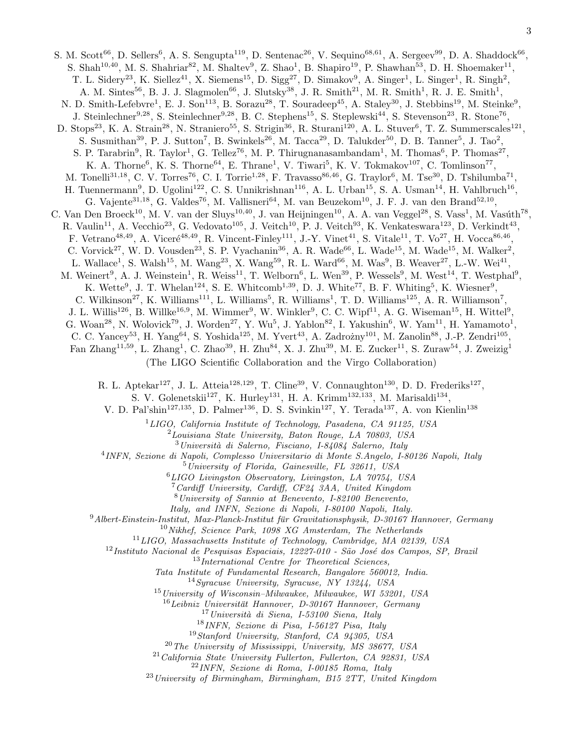S. M. Scott<sup>66</sup>, D. Sellers<sup>6</sup>, A. S. Sengupta<sup>119</sup>, D. Sentenac<sup>26</sup>, V. Sequino<sup>68,61</sup>, A. Sergeev<sup>99</sup>, D. A. Shaddock<sup>66</sup>, S. Shah<sup>10,40</sup>, M. S. Shahriar<sup>82</sup>, M. Shaltev<sup>9</sup>, Z. Shao<sup>1</sup>, B. Shapiro<sup>19</sup>, P. Shawhan<sup>53</sup>, D. H. Shoemaker<sup>11</sup>, T. L. Sidery<sup>23</sup>, K. Siellez<sup>41</sup>, X. Siemens<sup>15</sup>, D. Sigg<sup>27</sup>, D. Simakov<sup>9</sup>, A. Singer<sup>1</sup>, L. Singer<sup>1</sup>, R. Singh<sup>2</sup>, A. M. Sintes<sup>56</sup>, B. J. J. Slagmolen<sup>66</sup>, J. Slutsky<sup>38</sup>, J. R. Smith<sup>21</sup>, M. R. Smith<sup>1</sup>, R. J. E. Smith<sup>1</sup>, N. D. Smith-Lefebvre<sup>1</sup>, E. J. Son<sup>113</sup>, B. Sorazu<sup>28</sup>, T. Souradeep<sup>45</sup>, A. Staley<sup>30</sup>, J. Stebbins<sup>19</sup>, M. Steinke<sup>9</sup>, J. Steinlechner<sup>9,28</sup>, S. Steinlechner<sup>9,28</sup>, B. C. Stephens<sup>15</sup>, S. Steplewski<sup>44</sup>, S. Stevenson<sup>23</sup>, R. Stone<sup>76</sup>, D. Stops<sup>23</sup>, K. A. Strain<sup>28</sup>, N. Straniero<sup>55</sup>, S. Strigin<sup>36</sup>, R. Sturani<sup>120</sup>, A. L. Stuver<sup>6</sup>, T. Z. Summerscales<sup>121</sup>, S. Susmithan<sup>39</sup>, P. J. Sutton<sup>7</sup>, B. Swinkels<sup>26</sup>, M. Tacca<sup>29</sup>, D. Talukder<sup>50</sup>, D. B. Tanner<sup>5</sup>, J. Tao<sup>2</sup>, S. P. Tarabrin<sup>9</sup>, R. Taylor<sup>1</sup>, G. Tellez<sup>76</sup>, M. P. Thirugnanasambandam<sup>1</sup>, M. Thomas<sup>6</sup>, P. Thomas<sup>27</sup>, K. A. Thorne<sup>6</sup>, K. S. Thorne<sup>64</sup>, E. Thrane<sup>1</sup>, V. Tiwari<sup>5</sup>, K. V. Tokmakov<sup>107</sup>, C. Tomlinson<sup>77</sup>, M. Tonelli<sup>31,18</sup>, C. V. Torres<sup>76</sup>, C. I. Torrie<sup>1,28</sup>, F. Travasso<sup>86,46</sup>, G. Traylor<sup>6</sup>, M. Tse<sup>30</sup>, D. Tshilumba<sup>71</sup>, H. Tuennermann<sup>9</sup>, D. Ugolini<sup>122</sup>, C. S. Unnikrishnan<sup>116</sup>, A. L. Urban<sup>15</sup>, S. A. Usman<sup>14</sup>, H. Vahlbruch<sup>16</sup>, G. Vajente<sup>31,18</sup>, G. Valdes<sup>76</sup>, M. Vallisneri<sup>64</sup>, M. van Beuzekom<sup>10</sup>, J. F. J. van den Brand<sup>52,10</sup>, C. Van Den Broeck<sup>10</sup>, M. V. van der Sluys<sup>10,40</sup>, J. van Heijningen<sup>10</sup>, A. A. van Veggel<sup>28</sup>, S. Vass<sup>1</sup>, M. Vasúth<sup>78</sup>, R. Vaulin<sup>11</sup>, A. Vecchio<sup>23</sup>, G. Vedovato<sup>105</sup>, J. Veitch<sup>10</sup>, P. J. Veitch<sup>93</sup>, K. Venkateswara<sup>123</sup>, D. Verkindt<sup>43</sup>, F. Vetrano<sup>48,49</sup>, A. Viceré<sup>48,49</sup>, R. Vincent-Finley<sup>111</sup>, J.-Y. Vinet<sup>41</sup>, S. Vitale<sup>11</sup>, T. Vo<sup>27</sup>, H. Vocca<sup>86,46</sup>, C. Vorvick<sup>27</sup>, W. D. Vousden<sup>23</sup>, S. P. Vyachanin<sup>36</sup>, A. R. Wade<sup>66</sup>, L. Wade<sup>15</sup>, M. Wade<sup>15</sup>, M. Walker<sup>2</sup>, L. Wallace<sup>1</sup>, S. Walsh<sup>15</sup>, M. Wang<sup>23</sup>, X. Wang<sup>59</sup>, R. L. Ward<sup>66</sup>, M. Was<sup>9</sup>, B. Weaver<sup>27</sup>, L.-W. Wei<sup>41</sup>, M. Weinert<sup>9</sup>, A. J. Weinstein<sup>1</sup>, R. Weiss<sup>11</sup>, T. Welborn<sup>6</sup>, L. Wen<sup>39</sup>, P. Wessels<sup>9</sup>, M. West<sup>14</sup>, T. Westphal<sup>9</sup>, K. Wette<sup>9</sup>, J. T. Whelan<sup>124</sup>, S. E. Whitcomb<sup>1,39</sup>, D. J. White<sup>77</sup>, B. F. Whiting<sup>5</sup>, K. Wiesner<sup>9</sup>, C. Wilkinson<sup>27</sup>, K. Williams<sup>111</sup>, L. Williams<sup>5</sup>, R. Williams<sup>1</sup>, T. D. Williams<sup>125</sup>, A. R. Williamson<sup>7</sup>, J. L. Willis<sup>126</sup>, B. Willke<sup>16,9</sup>, M. Wimmer<sup>9</sup>, W. Winkler<sup>9</sup>, C. C. Wipf<sup>11</sup>, A. G. Wiseman<sup>15</sup>, H. Wittel<sup>9</sup>, G. Woan<sup>28</sup>, N. Wolovick<sup>79</sup>, J. Worden<sup>27</sup>, Y. Wu<sup>5</sup>, J. Yablon<sup>82</sup>, I. Yakushin<sup>6</sup>, W. Yam<sup>11</sup>, H. Yamamoto<sup>1</sup>, C. C. Yancey<sup>53</sup>, H. Yang<sup>64</sup>, S. Yoshida<sup>125</sup>, M. Yvert<sup>43</sup>, A. Zadrožny<sup>101</sup>, M. Zanolin<sup>88</sup>, J.-P. Zendri<sup>105</sup>, Fan Zhang<sup>11,59</sup>, L. Zhang<sup>1</sup>, C. Zhao<sup>39</sup>, H. Zhu<sup>84</sup>, X. J. Zhu<sup>39</sup>, M. E. Zucker<sup>11</sup>, S. Zuraw<sup>54</sup>, J. Zweizig<sup>1</sup> (The LIGO Scientific Collaboration and the Virgo Collaboration)

R. L. Aptekar<sup>127</sup>, J. L. Atteia<sup>128,129</sup>, T. Cline<sup>39</sup>, V. Connaughton<sup>130</sup>, D. D. Frederiks<sup>127</sup>, S. V. Golenetskii<sup>127</sup>, K. Hurley<sup>131</sup>, H. A. Krimm<sup>132,133</sup>, M. Marisaldi<sup>134</sup>,

V. D. Pal'shin<sup>127,135</sup>, D. Palmer<sup>136</sup>, D. S. Svinkin<sup>127</sup>, Y. Terada<sup>137</sup>, A. von Kienlin<sup>138</sup>

 $1LIGO, California Institute of Technology, Pasadena, CA 91125, USA$ 

 $2$ Louisiana State University, Baton Rouge, LA  $70803$ , USA

 $3$ Università di Salerno, Fisciano, I-84084 Salerno, Italy

4 INFN, Sezione di Napoli, Complesso Universitario di Monte S.Angelo, I-80126 Napoli, Italy

 $5$ University of Florida, Gainesville, FL 32611, USA

<sup>6</sup>LIGO Livingston Observatory, Livingston, LA 70754, USA

 $7$ Cardiff University, Cardiff, CF24 3AA, United Kingdom

<sup>8</sup>University of Sannio at Benevento, I-82100 Benevento, Italy, and INFN, Sezione di Napoli, I-80100 Napoli, Italy.

 $9$ Albert-Einstein-Institut, Max-Planck-Institut für Gravitationsphysik, D-30167 Hannover, Germany

 $10$ Nikhef, Science Park, 1098 XG Amsterdam, The Netherlands

 $11$ LIGO, Massachusetts Institute of Technology, Cambridge, MA 02139, USA

 $^{12}$ Instituto Nacional de Pesquisas Espaciais, 12227-010 - São José dos Campos, SP, Brazil

 $13$ International Centre for Theoretical Sciences,

Tata Institute of Fundamental Research, Bangalore 560012, India.

<sup>14</sup>Syracuse University, Syracuse, NY 13244, USA

 $15$ University of Wisconsin–Milwaukee, Milwaukee, WI 53201, USA

 $16$ Leibniz Universität Hannover, D-30167 Hannover, Germany

 $17$ Università di Siena, I-53100 Siena, Italy

<sup>18</sup>INFN, Sezione di Pisa, I-56127 Pisa, Italy

<sup>19</sup>Stanford University, Stanford, CA 94305, USA

 $^{20}$ The University of Mississippi, University, MS 38677, USA

 $^{21}$ California State University Fullerton, Fullerton, CA 92831, USA

<sup>22</sup>INFN, Sezione di Roma, I-00185 Roma, Italy

 $^{23}$ University of Birmingham, Birmingham, B15 2TT, United Kingdom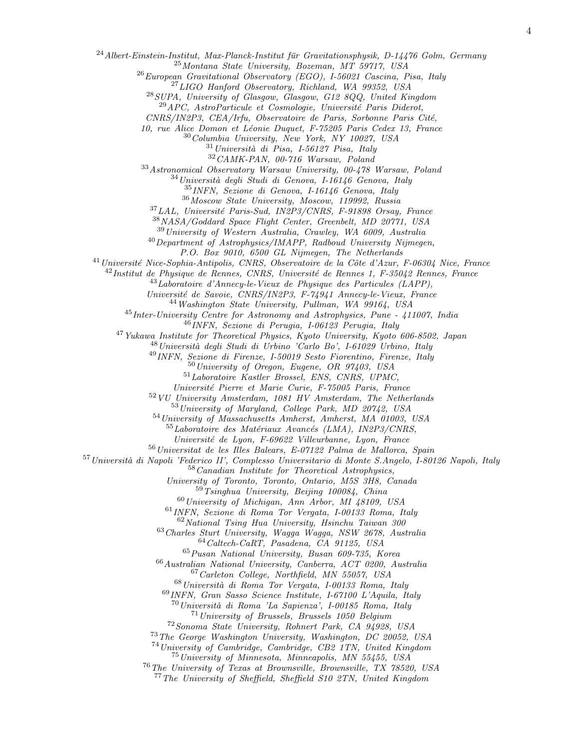<sup>24</sup>Albert-Einstein-Institut, Max-Planck-Institut für Gravitationsphysik, D-14476 Golm, Germany Montana State University, Bozeman, MT 59717, USA

 $^{26}$ European Gravitational Observatory (EGO), I-56021 Cascina, Pisa, Italy

LIGO Hanford Observatory, Richland, WA 99352, USA

 $^{28}$  SUPA, University of Glasgow, Glasgow, G12 8QQ, United Kingdom

APC, AstroParticule et Cosmologie, Université Paris Diderot,

CNRS/IN2P3, CEA/Irfu, Observatoire de Paris, Sorbonne Paris Cité,

10, rue Alice Domon et Léonie Duquet, F-75205 Paris Cedex 13, France

Columbia University, New York, NY 10027, USA

Università di Pisa, I-56127 Pisa, Italy

CAMK-PAN, 00-716 Warsaw, Poland

Astronomical Observatory Warsaw University, 00-478 Warsaw, Poland

Università degli Studi di Genova, I-16146 Genova, Italy

INFN, Sezione di Genova, I-16146 Genova, Italy

Moscow State University, Moscow, 119992, Russia

 $37 LAL$ , Université Paris-Sud, IN2P3/CNRS, F-91898 Orsay, France

NASA/Goddard Space Flight Center, Greenbelt, MD 20771, USA

University of Western Australia, Crawley, WA 6009, Australia

 $^{40}$ Department of Astrophysics/IMAPP, Radboud University Nijmegen,

P.O. Box 9010, 6500 GL Nijmegen, The Netherlands

 $^{41}$ Université Nice-Sophia-Antipolis, CNRS, Observatoire de la Côte d'Azur, F-06304 Nice, France

 $^{42}$ Institut de Physique de Rennes, CNRS, Université de Rennes 1, F-35042 Rennes, France

Laboratoire d'Annecy-le-Vieux de Physique des Particules (LAPP),

Université de Savoie, CNRS/IN2P3, F-74941 Annecy-le-Vieux, France

Washington State University, Pullman, WA 99164, USA

 $^{45}$ Inter-University Centre for Astronomy and Astrophysics, Pune - 411007, India

INFN, Sezione di Perugia, I-06123 Perugia, Italy

<sup>47</sup> Yukawa Institute for Theoretical Physics, Kyoto University, Kyoto 606-8502, Japan

 $^{48}$ Università degli Studi di Urbino 'Carlo Bo', I-61029 Urbino, Italy

INFN, Sezione di Firenze, I-50019 Sesto Fiorentino, Firenze, Italy

University of Oregon, Eugene, OR 97403, USA

Laboratoire Kastler Brossel, ENS, CNRS, UPMC,

Universit´e Pierre et Marie Curie, F-75005 Paris, France

VU University Amsterdam, 1081 HV Amsterdam, The Netherlands

University of Maryland, College Park, MD 20742, USA

University of Massachusetts Amherst, Amherst, MA 01003, USA

 $^{55}$ Laboratoire des Matériaux Avancés (LMA), IN2P3/CNRS,

Université de Lyon, F-69622 Villeurbanne, Lyon, France

Universitat de les Illes Balears, E-07122 Palma de Mallorca, Spain

Universit`a di Napoli 'Federico II', Complesso Universitario di Monte S.Angelo, I-80126 Napoli, Italy

Canadian Institute for Theoretical Astrophysics,

University of Toronto, Toronto, Ontario, M5S 3H8, Canada

Tsinghua University, Beijing 100084, China

University of Michigan, Ann Arbor, MI 48109, USA

INFN, Sezione di Roma Tor Vergata, I-00133 Roma, Italy

National Tsing Hua University, Hsinchu Taiwan 300

Charles Sturt University, Wagga Wagga, NSW 2678, Australia

Caltech-CaRT, Pasadena, CA 91125, USA

 $65Pusan National University, Busan 609-735, Korea$ 

Australian National University, Canberra, ACT 0200, Australia

Carleton College, Northfield, MN 55057, USA

Università di Roma Tor Vergata, I-00133 Roma, Italy

INFN, Gran Sasso Science Institute, I-67100 L'Aquila, Italy

 $^{70}$ Università di Roma 'La Sapienza', I-00185 Roma, Italy

University of Brussels, Brussels 1050 Belgium

Sonoma State University, Rohnert Park, CA 94928, USA

The George Washington University, Washington, DC 20052, USA

University of Cambridge, Cambridge, CB2 1TN, United Kingdom

University of Minnesota, Minneapolis, MN 55455, USA

The University of Texas at Brownsville, Brownsville, TX 78520, USA

The University of Sheffield, Sheffield S10 2TN, United Kingdom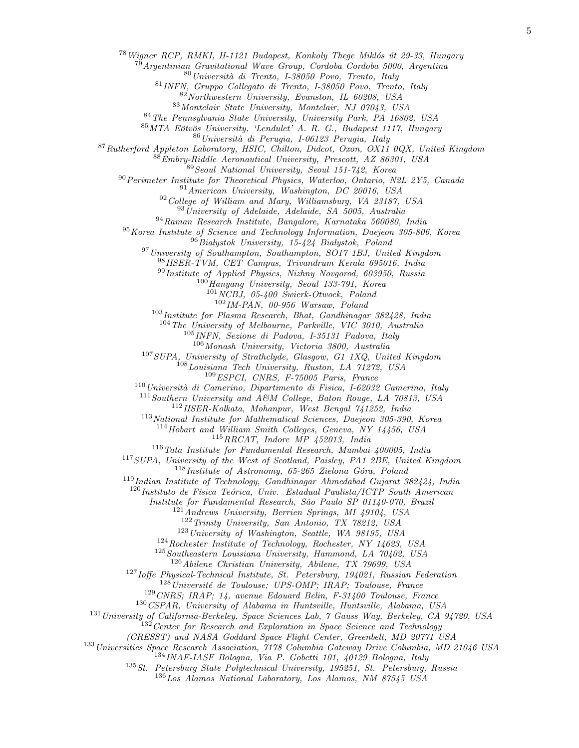$^{78}$  Wigner RCP, RMKI, H-1121 Budapest, Konkoly Thege Miklós út 29-33, Hungary

Argentinian Gravitational Wave Group, Cordoba Cordoba 5000, Argentina

Università di Trento, I-38050 Povo, Trento, Italy

INFN, Gruppo Collegato di Trento, I-38050 Povo, Trento, Italy

Northwestern University, Evanston, IL 60208, USA

Montclair State University, Montclair, NJ 07043, USA

The Pennsylvania State University, University Park, PA 16802, USA

 $85\,MTA$  Eötvös University, 'Lendulet' A. R. G., Budapest 1117, Hungary

Universit`a di Perugia, I-06123 Perugia, Italy

Rutherford Appleton Laboratory, HSIC, Chilton, Didcot, Oxon, OX11 0QX, United Kingdom

 $^{88}$ Embry-Riddle Aeronautical University, Prescott, AZ 86301, USA

Seoul National University, Seoul 151-742, Korea

Perimeter Institute for Theoretical Physics, Waterloo, Ontario, N2L 2Y5, Canada

 $^{91}$ American University, Washington, DC 20016, USA

College of William and Mary, Williamsburg, VA 23187, USA

University of Adelaide, Adelaide, SA 5005, Australia

Raman Research Institute, Bangalore, Karnataka 560080, India

Korea Institute of Science and Technology Information, Daejeon 305-806, Korea

Białystok University, 15-424 Białystok, Poland

University of Southampton, Southampton, SO17 1BJ, United Kingdom

IISER-TVM, CET Campus, Trivandrum Kerala 695016, India

Institute of Applied Physics, Nizhny Novgorod, 603950, Russia

 $^{100}$ Hanyang University, Seoul 133-791, Korea

NCBJ, 05-400 Swierk-Otwock, Poland

IM-PAN, 00-956 Warsaw, Poland

Institute for Plasma Research, Bhat, Gandhinagar 382428, India

The University of Melbourne, Parkville, VIC 3010, Australia

INFN, Sezione di Padova, I-35131 Padova, Italy

Monash University, Victoria 3800, Australia

SUPA, University of Strathclyde, Glasgow, G1 1XQ, United Kingdom

Louisiana Tech University, Ruston, LA 71272, USA

ESPCI, CNRS, F-75005 Paris, France

 $^{110}$ Università di Camerino, Dipartimento di Fisica, I-62032 Camerino, Italy

 $^{111}$ Southern University and A&M College, Baton Rouge, LA 70813, USA

IISER-Kolkata, Mohanpur, West Bengal 741252, India

<sup>113</sup>National Institute for Mathematical Sciences, Daejeon 305-390, Korea

Hobart and William Smith Colleges, Geneva, NY 14456, USA

 $115 RRCAT$ , Indore MP 452013, India

Tata Institute for Fundamental Research, Mumbai 400005, India

SUPA, University of the West of Scotland, Paisley, PA1 2BE, United Kingdom

Institute of Astronomy, 65-265 Zielona Góra, Poland

 $1^{19}$ Indian Institute of Technology, Gandhinagar Ahmedabad Gujarat 382424, India

Instituto de Física Teórica, Univ. Estadual Paulista/ICTP South American

Institute for Fundamental Research, São Paulo SP 01140-070, Brazil

 $^{121}$ Andrews University, Berrien Springs, MI 49104, USA

<sup>122</sup> Trinity University, San Antonio, TX 78212, USA

University of Washington, Seattle, WA 98195, USA

Rochester Institute of Technology, Rochester, NY 14623, USA

Southeastern Louisiana University, Hammond, LA 70402, USA

Abilene Christian University, Abilene, TX 79699, USA

<sup>127</sup> Ioffe Physical-Technical Institute, St. Petersburg, 194021, Russian Federation

Université de Toulouse; UPS-OMP; IRAP; Toulouse, France

 $129 \text{ CNRS}; \text{ IRAP}; 14, \text{ avenue}$  Edouard Belin, F-31400 Toulouse, France

<sup>130</sup>CSPAR, University of Alabama in Huntsville, Huntsville, Alabama, USA

 $^{131}$  University of California-Berkeley, Space Sciences Lab,  $\gamma$  Gauss Way, Berkeley, CA 94720, USA

Center for Research and Exploration in Space Science and Technology

(CRESST) and NASA Goddard Space Flight Center, Greenbelt, MD 20771 USA

Universities Space Research Association, 7178 Columbia Gateway Drive Columbia, MD 21046 USA

INAF-IASF Bologna, Via P. Gobetti 101, 40129 Bologna, Italy

St. Petersburg State Polytechnical University, 195251, St. Petersburg, Russia

Los Alamos National Laboratory, Los Alamos, NM 87545 USA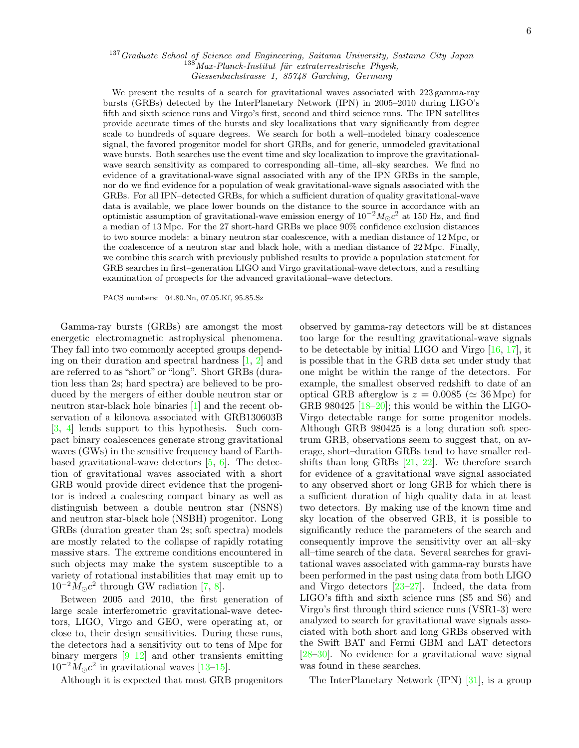## <sup>137</sup> Graduate School of Science and Engineering, Saitama University, Saitama City Japan  $138$  Max-Planck-Institut für extraterrestrische Physik, Giessenbachstrasse 1, 85748 Garching, Germany

We present the results of a search for gravitational waves associated with 223 gamma-ray bursts (GRBs) detected by the InterPlanetary Network (IPN) in 2005–2010 during LIGO's fifth and sixth science runs and Virgo's first, second and third science runs. The IPN satellites provide accurate times of the bursts and sky localizations that vary significantly from degree scale to hundreds of square degrees. We search for both a well–modeled binary coalescence signal, the favored progenitor model for short GRBs, and for generic, unmodeled gravitational wave bursts. Both searches use the event time and sky localization to improve the gravitationalwave search sensitivity as compared to corresponding all–time, all–sky searches. We find no evidence of a gravitational-wave signal associated with any of the IPN GRBs in the sample, nor do we find evidence for a population of weak gravitational-wave signals associated with the GRBs. For all IPN–detected GRBs, for which a sufficient duration of quality gravitational-wave data is available, we place lower bounds on the distance to the source in accordance with an optimistic assumption of gravitational-wave emission energy of  $10^{-2}M_{\odot}c^2$  at 150 Hz, and find a median of 13 Mpc. For the 27 short-hard GRBs we place 90% confidence exclusion distances to two source models: a binary neutron star coalescence, with a median distance of 12 Mpc, or the coalescence of a neutron star and black hole, with a median distance of 22 Mpc. Finally, we combine this search with previously published results to provide a population statement for GRB searches in first–generation LIGO and Virgo gravitational-wave detectors, and a resulting examination of prospects for the advanced gravitational–wave detectors.

PACS numbers: 04.80.Nn, 07.05.Kf, 95.85.Sz

Gamma-ray bursts (GRBs) are amongst the most energetic electromagnetic astrophysical phenomena. They fall into two commonly accepted groups depending on their duration and spectral hardness [\[1,](#page-13-0) [2\]](#page-13-1) and are referred to as "short" or "long". Short GRBs (duration less than 2s; hard spectra) are believed to be produced by the mergers of either double neutron star or neutron star-black hole binaries [\[1\]](#page-13-0) and the recent observation of a kilonova associated with GRB130603B [\[3,](#page-13-2) [4\]](#page-13-3) lends support to this hypothesis. Such compact binary coalescences generate strong gravitational waves (GWs) in the sensitive frequency band of Earthbased gravitational-wave detectors [\[5,](#page-13-4) [6\]](#page-13-5). The detection of gravitational waves associated with a short GRB would provide direct evidence that the progenitor is indeed a coalescing compact binary as well as distinguish between a double neutron star (NSNS) and neutron star-black hole (NSBH) progenitor. Long GRBs (duration greater than 2s; soft spectra) models are mostly related to the collapse of rapidly rotating massive stars. The extreme conditions encountered in such objects may make the system susceptible to a variety of rotational instabilities that may emit up to  $10^{-2} M_{\odot} c^2$  through GW radiation [\[7,](#page-13-6) [8\]](#page-13-7).

Between 2005 and 2010, the first generation of large scale interferometric gravitational-wave detectors, LIGO, Virgo and GEO, were operating at, or close to, their design sensitivities. During these runs, the detectors had a sensitivity out to tens of Mpc for binary mergers  $[9-12]$  $[9-12]$  and other transients emitting  $10^{-2} M_{\odot} c^2$  in gravitational waves [\[13–](#page-13-10)[15\]](#page-13-11).

Although it is expected that most GRB progenitors

observed by gamma-ray detectors will be at distances too large for the resulting gravitational-wave signals to be detectable by initial LIGO and Virgo [\[16,](#page-13-12) [17\]](#page-13-13), it is possible that in the GRB data set under study that one might be within the range of the detectors. For example, the smallest observed redshift to date of an optical GRB afterglow is  $z = 0.0085 \approx 36$  Mpc) for GRB 980425 [\[18–](#page-13-14)[20\]](#page-13-15); this would be within the LIGO-Virgo detectable range for some progenitor models. Although GRB 980425 is a long duration soft spectrum GRB, observations seem to suggest that, on average, short–duration GRBs tend to have smaller redshifts than long GRBs  $[21, 22]$  $[21, 22]$  $[21, 22]$ . We therefore search for evidence of a gravitational wave signal associated to any observed short or long GRB for which there is a sufficient duration of high quality data in at least two detectors. By making use of the known time and sky location of the observed GRB, it is possible to significantly reduce the parameters of the search and consequently improve the sensitivity over an all–sky all–time search of the data. Several searches for gravitational waves associated with gamma-ray bursts have been performed in the past using data from both LIGO and Virgo detectors [\[23](#page-13-18)[–27\]](#page-13-19). Indeed, the data from LIGO's fifth and sixth science runs (S5 and S6) and Virgo's first through third science runs (VSR1-3) were analyzed to search for gravitational wave signals associated with both short and long GRBs observed with the Swift BAT and Fermi GBM and LAT detectors [\[28–](#page-13-20)[30\]](#page-13-21). No evidence for a gravitational wave signal was found in these searches.

The InterPlanetary Network (IPN) [\[31\]](#page-13-22), is a group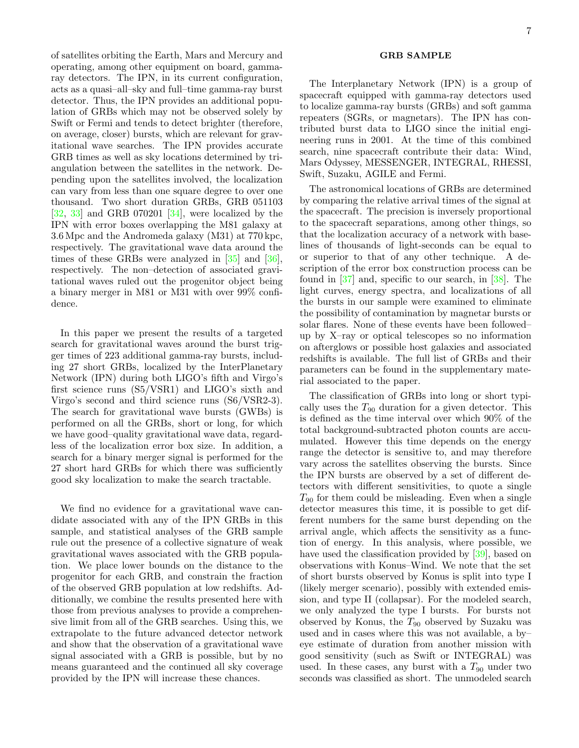of satellites orbiting the Earth, Mars and Mercury and operating, among other equipment on board, gammaray detectors. The IPN, in its current configuration, acts as a quasi–all–sky and full–time gamma-ray burst detector. Thus, the IPN provides an additional population of GRBs which may not be observed solely by Swift or Fermi and tends to detect brighter (therefore, on average, closer) bursts, which are relevant for gravitational wave searches. The IPN provides accurate GRB times as well as sky locations determined by triangulation between the satellites in the network. Depending upon the satellites involved, the localization can vary from less than one square degree to over one thousand. Two short duration GRBs, GRB 051103  $[32, 33]$  $[32, 33]$  $[32, 33]$  and GRB 070201  $[34]$ , were localized by the IPN with error boxes overlapping the M81 galaxy at 3.6 Mpc and the Andromeda galaxy (M31) at 770 kpc, respectively. The gravitational wave data around the times of these GRBs were analyzed in [\[35\]](#page-13-26) and [\[36\]](#page-13-27), respectively. The non–detection of associated gravitational waves ruled out the progenitor object being a binary merger in M81 or M31 with over 99% confidence.

In this paper we present the results of a targeted search for gravitational waves around the burst trigger times of 223 additional gamma-ray bursts, including 27 short GRBs, localized by the InterPlanetary Network (IPN) during both LIGO's fifth and Virgo's first science runs (S5/VSR1) and LIGO's sixth and Virgo's second and third science runs (S6/VSR2-3). The search for gravitational wave bursts (GWBs) is performed on all the GRBs, short or long, for which we have good–quality gravitational wave data, regardless of the localization error box size. In addition, a search for a binary merger signal is performed for the 27 short hard GRBs for which there was sufficiently good sky localization to make the search tractable.

We find no evidence for a gravitational wave candidate associated with any of the IPN GRBs in this sample, and statistical analyses of the GRB sample rule out the presence of a collective signature of weak gravitational waves associated with the GRB population. We place lower bounds on the distance to the progenitor for each GRB, and constrain the fraction of the observed GRB population at low redshifts. Additionally, we combine the results presented here with those from previous analyses to provide a comprehensive limit from all of the GRB searches. Using this, we extrapolate to the future advanced detector network and show that the observation of a gravitational wave signal associated with a GRB is possible, but by no means guaranteed and the continued all sky coverage provided by the IPN will increase these chances.

7

## GRB SAMPLE

The Interplanetary Network (IPN) is a group of spacecraft equipped with gamma-ray detectors used to localize gamma-ray bursts (GRBs) and soft gamma repeaters (SGRs, or magnetars). The IPN has contributed burst data to LIGO since the initial engineering runs in 2001. At the time of this combined search, nine spacecraft contribute their data: Wind, Mars Odyssey, MESSENGER, INTEGRAL, RHESSI, Swift, Suzaku, AGILE and Fermi.

The astronomical locations of GRBs are determined by comparing the relative arrival times of the signal at the spacecraft. The precision is inversely proportional to the spacecraft separations, among other things, so that the localization accuracy of a network with baselines of thousands of light-seconds can be equal to or superior to that of any other technique. A description of the error box construction process can be found in [\[37\]](#page-13-28) and, specific to our search, in [\[38\]](#page-13-29). The light curves, energy spectra, and localizations of all the bursts in our sample were examined to eliminate the possibility of contamination by magnetar bursts or solar flares. None of these events have been followed– up by X–ray or optical telescopes so no information on afterglows or possible host galaxies and associated redshifts is available. The full list of GRBs and their parameters can be found in the supplementary material associated to the paper.

The classification of GRBs into long or short typically uses the  $T_{90}$  duration for a given detector. This is defined as the time interval over which 90% of the total background-subtracted photon counts are accumulated. However this time depends on the energy range the detector is sensitive to, and may therefore vary across the satellites observing the bursts. Since the IPN bursts are observed by a set of different detectors with different sensitivities, to quote a single  $T_{90}$  for them could be misleading. Even when a single detector measures this time, it is possible to get different numbers for the same burst depending on the arrival angle, which affects the sensitivity as a function of energy. In this analysis, where possible, we have used the classification provided by [\[39\]](#page-13-30), based on observations with Konus–Wind. We note that the set of short bursts observed by Konus is split into type I (likely merger scenario), possibly with extended emission, and type II (collapsar). For the modeled search, we only analyzed the type I bursts. For bursts not observed by Konus, the  $T_{90}$  observed by Suzaku was used and in cases where this was not available, a by– eye estimate of duration from another mission with good sensitivity (such as Swift or INTEGRAL) was used. In these cases, any burst with a  $T_{90}$  under two seconds was classified as short. The unmodeled search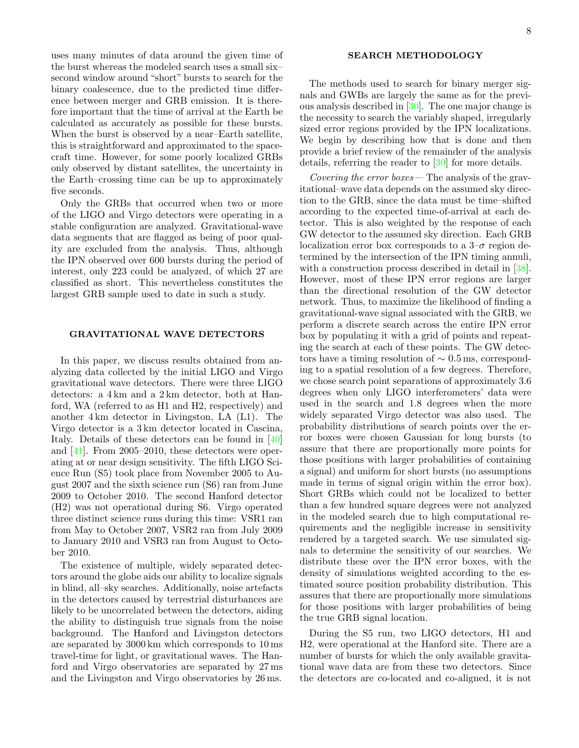uses many minutes of data around the given time of the burst whereas the modeled search uses a small six– second window around "short" bursts to search for the binary coalescence, due to the predicted time difference between merger and GRB emission. It is therefore important that the time of arrival at the Earth be calculated as accurately as possible for these bursts. When the burst is observed by a near–Earth satellite, this is straightforward and approximated to the spacecraft time. However, for some poorly localized GRBs only observed by distant satellites, the uncertainty in the Earth–crossing time can be up to approximately five seconds.

Only the GRBs that occurred when two or more of the LIGO and Virgo detectors were operating in a stable configuration are analyzed. Gravitational-wave data segments that are flagged as being of poor quality are excluded from the analysis. Thus, although the IPN observed over 600 bursts during the period of interest, only 223 could be analyzed, of which 27 are classified as short. This nevertheless constitutes the largest GRB sample used to date in such a study.

## GRAVITATIONAL WAVE DETECTORS

In this paper, we discuss results obtained from analyzing data collected by the initial LIGO and Virgo gravitational wave detectors. There were three LIGO detectors: a 4 km and a 2 km detector, both at Hanford, WA (referred to as H1 and H2, respectively) and another 4 km detector in Livingston, LA (L1). The Virgo detector is a 3 km detector located in Cascina, Italy. Details of these detectors can be found in [\[40\]](#page-13-31) and [\[41\]](#page-13-32). From 2005–2010, these detectors were operating at or near design sensitivity. The fifth LIGO Science Run (S5) took place from November 2005 to August 2007 and the sixth science run (S6) ran from June 2009 to October 2010. The second Hanford detector (H2) was not operational during S6. Virgo operated three distinct science runs during this time: VSR1 ran from May to October 2007, VSR2 ran from July 2009 to January 2010 and VSR3 ran from August to October 2010.

The existence of multiple, widely separated detectors around the globe aids our ability to localize signals in blind, all–sky searches. Additionally, noise artefacts in the detectors caused by terrestrial disturbances are likely to be uncorrelated between the detectors, aiding the ability to distinguish true signals from the noise background. The Hanford and Livingston detectors are separated by 3000 km which corresponds to 10 ms travel-time for light, or gravitational waves. The Hanford and Virgo observatories are separated by 27 ms and the Livingston and Virgo observatories by 26 ms.

#### SEARCH METHODOLOGY

The methods used to search for binary merger signals and GWBs are largely the same as for the previous analysis described in [\[30\]](#page-13-21). The one major change is the necessity to search the variably shaped, irregularly sized error regions provided by the IPN localizations. We begin by describing how that is done and then provide a brief review of the remainder of the analysis details, referring the reader to [\[30\]](#page-13-21) for more details.

Covering the error boxes— The analysis of the gravitational–wave data depends on the assumed sky direction to the GRB, since the data must be time–shifted according to the expected time-of-arrival at each detector. This is also weighted by the response of each GW detector to the assumed sky direction. Each GRB localization error box corresponds to a  $3-\sigma$  region determined by the intersection of the IPN timing annuli, with a construction process described in detail in [\[38\]](#page-13-29). However, most of these IPN error regions are larger than the directional resolution of the GW detector network. Thus, to maximize the likelihood of finding a gravitational-wave signal associated with the GRB, we perform a discrete search across the entire IPN error box by populating it with a grid of points and repeating the search at each of these points. The GW detectors have a timing resolution of  $\sim 0.5$  ms, corresponding to a spatial resolution of a few degrees. Therefore, we chose search point separations of approximately 3.6 degrees when only LIGO interferometers' data were used in the search and 1.8 degrees when the more widely separated Virgo detector was also used. The probability distributions of search points over the error boxes were chosen Gaussian for long bursts (to assure that there are proportionally more points for those positions with larger probabilities of containing a signal) and uniform for short bursts (no assumptions made in terms of signal origin within the error box). Short GRBs which could not be localized to better than a few hundred square degrees were not analyzed in the modeled search due to high computational requirements and the negligible increase in sensitivity rendered by a targeted search. We use simulated signals to determine the sensitivity of our searches. We distribute these over the IPN error boxes, with the density of simulations weighted according to the estimated source position probability distribution. This assures that there are proportionally more simulations for those positions with larger probabilities of being the true GRB signal location.

During the S5 run, two LIGO detectors, H1 and H2, were operational at the Hanford site. There are a number of bursts for which the only available gravitational wave data are from these two detectors. Since the detectors are co-located and co-aligned, it is not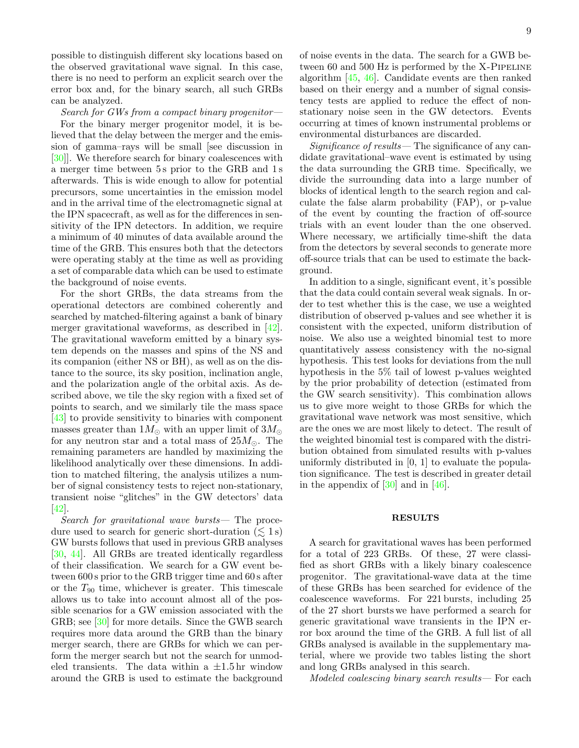possible to distinguish different sky locations based on the observed gravitational wave signal. In this case, there is no need to perform an explicit search over the error box and, for the binary search, all such GRBs can be analyzed.

Search for GWs from a compact binary progenitor— For the binary merger progenitor model, it is believed that the delay between the merger and the emission of gamma–rays will be small [see discussion in [\[30\]](#page-13-21). We therefore search for binary coalescences with a merger time between 5s prior to the GRB and 1s afterwards. This is wide enough to allow for potential precursors, some uncertainties in the emission model and in the arrival time of the electromagnetic signal at the IPN spacecraft, as well as for the differences in sensitivity of the IPN detectors. In addition, we require a minimum of 40 minutes of data available around the time of the GRB. This ensures both that the detectors were operating stably at the time as well as providing a set of comparable data which can be used to estimate the background of noise events.

For the short GRBs, the data streams from the operational detectors are combined coherently and searched by matched-filtering against a bank of binary merger gravitational waveforms, as described in [\[42\]](#page-13-33). The gravitational waveform emitted by a binary system depends on the masses and spins of the NS and its companion (either NS or BH), as well as on the distance to the source, its sky position, inclination angle, and the polarization angle of the orbital axis. As described above, we tile the sky region with a fixed set of points to search, and we similarly tile the mass space [\[43\]](#page-13-34) to provide sensitivity to binaries with component masses greater than  $1 M_{\odot}$  with an upper limit of  $3 M_{\odot}$ for any neutron star and a total mass of  $25M_{\odot}$ . The remaining parameters are handled by maximizing the likelihood analytically over these dimensions. In addition to matched filtering, the analysis utilizes a number of signal consistency tests to reject non-stationary, transient noise "glitches" in the GW detectors' data [\[42\]](#page-13-33).

Search for gravitational wave bursts— The procedure used to search for generic short-duration  $(\leq 1 \text{ s})$ GW bursts follows that used in previous GRB analyses [\[30,](#page-13-21) [44\]](#page-13-35). All GRBs are treated identically regardless of their classification. We search for a GW event between 600 s prior to the GRB trigger time and 60 s after or the  $T_{90}$  time, whichever is greater. This timescale allows us to take into account almost all of the possible scenarios for a GW emission associated with the GRB; see [\[30\]](#page-13-21) for more details. Since the GWB search requires more data around the GRB than the binary merger search, there are GRBs for which we can perform the merger search but not the search for unmodeled transients. The data within a  $\pm 1.5$  hr window around the GRB is used to estimate the background of noise events in the data. The search for a GWB between 60 and 500 Hz is performed by the X-PIPELINE algorithm [\[45,](#page-13-36) [46\]](#page-13-37). Candidate events are then ranked based on their energy and a number of signal consistency tests are applied to reduce the effect of nonstationary noise seen in the GW detectors. Events occurring at times of known instrumental problems or environmental disturbances are discarded.

Significance of results— The significance of any candidate gravitational–wave event is estimated by using the data surrounding the GRB time. Specifically, we divide the surrounding data into a large number of blocks of identical length to the search region and calculate the false alarm probability (FAP), or p-value of the event by counting the fraction of off-source trials with an event louder than the one observed. Where necessary, we artificially time-shift the data from the detectors by several seconds to generate more off-source trials that can be used to estimate the background.

In addition to a single, significant event, it's possible that the data could contain several weak signals. In order to test whether this is the case, we use a weighted distribution of observed p-values and see whether it is consistent with the expected, uniform distribution of noise. We also use a weighted binomial test to more quantitatively assess consistency with the no-signal hypothesis. This test looks for deviations from the null hypothesis in the 5% tail of lowest p-values weighted by the prior probability of detection (estimated from the GW search sensitivity). This combination allows us to give more weight to those GRBs for which the gravitational wave network was most sensitive, which are the ones we are most likely to detect. The result of the weighted binomial test is compared with the distribution obtained from simulated results with p-values uniformly distributed in  $[0, 1]$  to evaluate the population significance. The test is described in greater detail in the appendix of  $[30]$  and in  $[46]$ .

#### RESULTS

A search for gravitational waves has been performed for a total of 223 GRBs. Of these, 27 were classified as short GRBs with a likely binary coalescence progenitor. The gravitational-wave data at the time of these GRBs has been searched for evidence of the coalescence waveforms. For 221 bursts, including 25 of the 27 short bursts we have performed a search for generic gravitational wave transients in the IPN error box around the time of the GRB. A full list of all GRBs analysed is available in the supplementary material, where we provide two tables listing the short and long GRBs analysed in this search.

Modeled coalescing binary search results— For each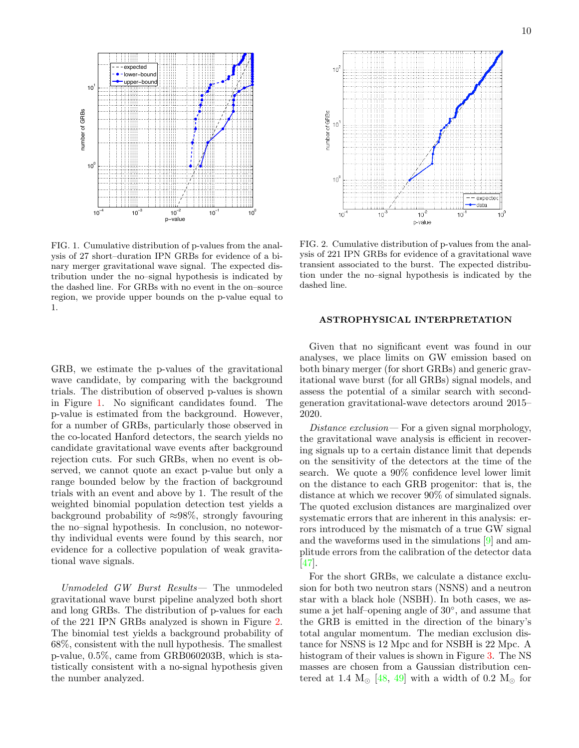

<span id="page-9-0"></span>ysis of 27 short–duration IPN GRBs for evidence of a binary merger gravitational wave signal. The expected distribution under the no–signal hypothesis is indicated by the dashed line. For GRBs with no event in the on–source region, we provide upper bounds on the p-value equal to 1.

GRB, we estimate the p-values of the gravitational wave candidate, by comparing with the background trials. The distribution of observed p-values is shown in Figure [1.](#page-9-0) No significant candidates found. The p-value is estimated from the background. However, for a number of GRBs, particularly those observed in the co-located Hanford detectors, the search yields no candidate gravitational wave events after background rejection cuts. For such GRBs, when no event is observed, we cannot quote an exact p-value but only a range bounded below by the fraction of background trials with an event and above by 1. The result of the weighted binomial population detection test yields a background probability of  $\approx 98\%$ , strongly favouring the no–signal hypothesis. In conclusion, no noteworthy individual events were found by this search, nor evidence for a collective population of weak gravitational wave signals.

Unmodeled GW Burst Results— The unmodeled gravitational wave burst pipeline analyzed both short and long GRBs. The distribution of p-values for each of the 221 IPN GRBs analyzed is shown in Figure [2.](#page-9-1) The binomial test yields a background probability of 68%, consistent with the null hypothesis. The smallest p-value, 0.5%, came from GRB060203B, which is statistically consistent with a no-signal hypothesis given the number analyzed.



<span id="page-9-1"></span>FIG. 2. Cumulative distribution of p-values from the analysis of 221 IPN GRBs for evidence of a gravitational wave transient associated to the burst. The expected distribution under the no–signal hypothesis is indicated by the dashed line.

# ASTROPHYSICAL INTERPRETATION

Given that no significant event was found in our analyses, we place limits on GW emission based on both binary merger (for short GRBs) and generic gravitational wave burst (for all GRBs) signal models, and assess the potential of a similar search with secondgeneration gravitational-wave detectors around 2015– 2020.

 $Distance\ exclusion - For a given signal morphology,$ the gravitational wave analysis is efficient in recovering signals up to a certain distance limit that depends on the sensitivity of the detectors at the time of the search. We quote a 90% confidence level lower limit on the distance to each GRB progenitor: that is, the distance at which we recover 90% of simulated signals. The quoted exclusion distances are marginalized over systematic errors that are inherent in this analysis: errors introduced by the mismatch of a true GW signal and the waveforms used in the simulations [\[9\]](#page-13-8) and amplitude errors from the calibration of the detector data [\[47\]](#page-13-38).

For the short GRBs, we calculate a distance exclusion for both two neutron stars (NSNS) and a neutron star with a black hole (NSBH). In both cases, we assume a jet half–opening angle of 30<sup>°</sup>, and assume that the GRB is emitted in the direction of the binary's total angular momentum. The median exclusion distance for NSNS is 12 Mpc and for NSBH is 22 Mpc. A histogram of their values is shown in Figure [3.](#page-10-0) The NS masses are chosen from a Gaussian distribution centered at 1.4  $M_{\odot}$  [\[48,](#page-14-0) [49\]](#page-14-1) with a width of 0.2  $M_{\odot}$  for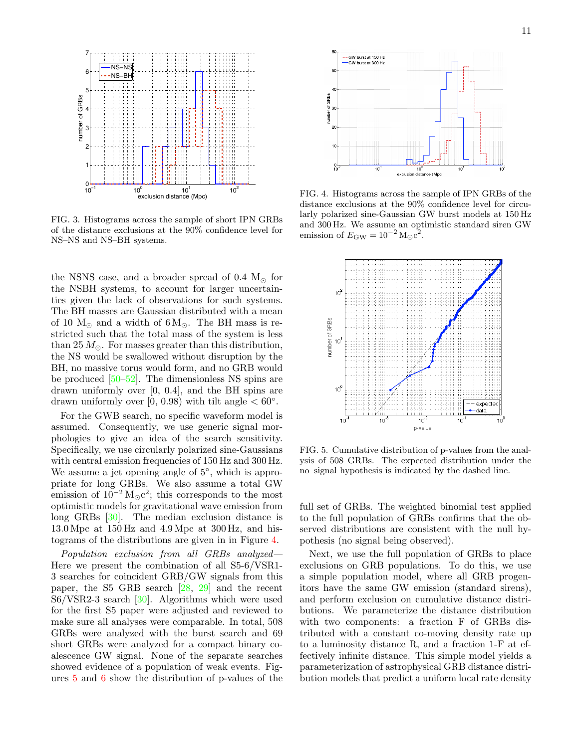

<span id="page-10-0"></span>FIG. 3. Histograms across the sample of short IPN GRBs of the distance exclusions at the 90% confidence level for NS–NS and NS–BH systems.

the NSNS case, and a broader spread of 0.4  $M_{\odot}$  for the NSBH systems, to account for larger uncertainties given the lack of observations for such systems. The BH masses are Gaussian distributed with a mean of 10  $M_{\odot}$  and a width of 6  $M_{\odot}$ . The BH mass is restricted such that the total mass of the system is less than 25  $M_{\odot}$ . For masses greater than this distribution, the NS would be swallowed without disruption by the BH, no massive torus would form, and no GRB would be produced [\[50–](#page-14-2)[52\]](#page-14-3). The dimensionless NS spins are drawn uniformly over [0, 0.4], and the BH spins are drawn uniformly over [0, 0.98) with tilt angle  $< 60^{\circ}$ .

For the GWB search, no specific waveform model is assumed. Consequently, we use generic signal morphologies to give an idea of the search sensitivity. Specifically, we use circularly polarized sine-Gaussians with central emission frequencies of 150 Hz and 300 Hz. We assume a jet opening angle of 5◦ , which is appropriate for long GRBs. We also assume a total GW emission of  $10^{-2} M_{\odot} c^2$ ; this corresponds to the most optimistic models for gravitational wave emission from long GRBs [\[30\]](#page-13-21). The median exclusion distance is 13.0 Mpc at 150 Hz and 4.9 Mpc at 300 Hz, and histograms of the distributions are given in in Figure [4.](#page-10-1)

Population exclusion from all GRBs analyzed— Here we present the combination of all S5-6/VSR1- 3 searches for coincident GRB/GW signals from this paper, the S5 GRB search [\[28,](#page-13-20) [29\]](#page-13-39) and the recent S6/VSR2-3 search [\[30\]](#page-13-21). Algorithms which were used for the first S5 paper were adjusted and reviewed to make sure all analyses were comparable. In total, 508 GRBs were analyzed with the burst search and 69 short GRBs were analyzed for a compact binary coalescence GW signal. None of the separate searches showed evidence of a population of weak events. Figures [5](#page-10-2) and [6](#page-11-0) show the distribution of p-values of the



<span id="page-10-1"></span>FIG. 4. Histograms across the sample of IPN GRBs of the distance exclusions at the 90% confidence level for circularly polarized sine-Gaussian GW burst models at 150 Hz and 300 Hz. We assume an optimistic standard siren GW emission of  $E_{\text{GW}} = 10^{-2} \,\text{M}_{\odot} \,\text{c}^2$ .



<span id="page-10-2"></span>FIG. 5. Cumulative distribution of p-values from the analysis of 508 GRBs. The expected distribution under the no–signal hypothesis is indicated by the dashed line.

full set of GRBs. The weighted binomial test applied to the full population of GRBs confirms that the observed distributions are consistent with the null hypothesis (no signal being observed).

Next, we use the full population of GRBs to place exclusions on GRB populations. To do this, we use a simple population model, where all GRB progenitors have the same GW emission (standard sirens), and perform exclusion on cumulative distance distributions. We parameterize the distance distribution with two components: a fraction F of GRBs distributed with a constant co-moving density rate up to a luminosity distance R, and a fraction 1-F at effectively infinite distance. This simple model yields a parameterization of astrophysical GRB distance distribution models that predict a uniform local rate density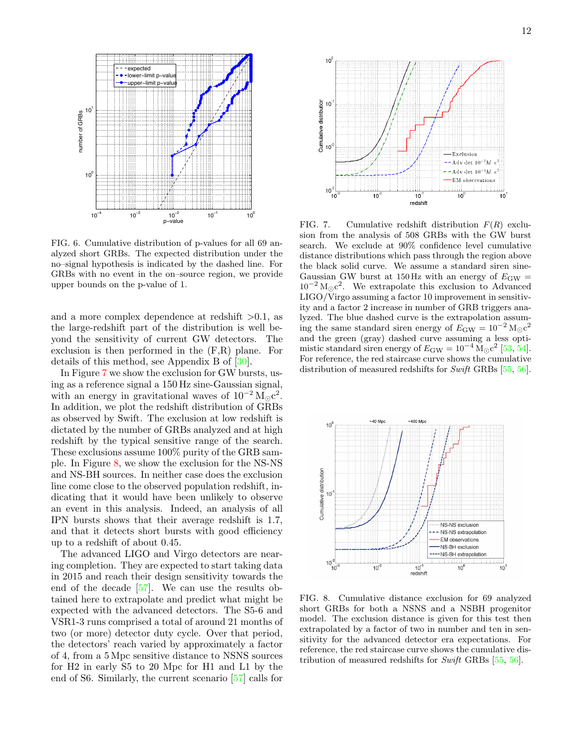

<span id="page-11-0"></span>FIG. 6. Cumulative distribution of p-values for all 69 analyzed short GRBs. The expected distribution under the no–signal hypothesis is indicated by the dashed line. For GRBs with no event in the on–source region, we provide upper bounds on the p-value of 1.

and a more complex dependence at redshift  $>0.1$ , as the large-redshift part of the distribution is well beyond the sensitivity of current GW detectors. The exclusion is then performed in the (F,R) plane. For details of this method, see Appendix B of [\[30\]](#page-13-21).

In Figure [7](#page-11-1) we show the exclusion for GW bursts, using as a reference signal a 150 Hz sine-Gaussian signal, with an energy in gravitational waves of  $10^{-2} M_{\odot} c^2$ . In addition, we plot the redshift distribution of GRBs as observed by Swift. The exclusion at low redshift is dictated by the number of GRBs analyzed and at high redshift by the typical sensitive range of the search. These exclusions assume 100% purity of the GRB sample. In Figure [8,](#page-11-2) we show the exclusion for the NS-NS and NS-BH sources. In neither case does the exclusion line come close to the observed population redshift, indicating that it would have been unlikely to observe an event in this analysis. Indeed, an analysis of all IPN bursts shows that their average redshift is 1.7, and that it detects short bursts with good efficiency up to a redshift of about 0.45.

The advanced LIGO and Virgo detectors are nearing completion. They are expected to start taking data in 2015 and reach their design sensitivity towards the end of the decade [\[57\]](#page-14-4). We can use the results obtained here to extrapolate and predict what might be expected with the advanced detectors. The S5-6 and VSR1-3 runs comprised a total of around 21 months of two (or more) detector duty cycle. Over that period, the detectors' reach varied by approximately a factor of 4, from a 5 Mpc sensitive distance to NSNS sources for H2 in early S5 to 20 Mpc for H1 and L1 by the end of S6. Similarly, the current scenario [\[57\]](#page-14-4) calls for



<span id="page-11-1"></span>FIG. 7. Cumulative redshift distribution  $F(R)$  exclusion from the analysis of 508 GRBs with the GW burst search. We exclude at 90% confidence level cumulative distance distributions which pass through the region above the black solid curve. We assume a standard siren sine-Gaussian GW burst at 150 Hz with an energy of  $E_{\rm GW}$  =  $10^{-2}$  M<sub>o</sub>c<sup>2</sup>. We extrapolate this exclusion to Advanced LIGO/Virgo assuming a factor 10 improvement in sensitivity and a factor 2 increase in number of GRB triggers analyzed. The blue dashed curve is the extrapolation assuming the same standard siren energy of  $E_{\rm GW} = 10^{-2} \,\rm M_{\odot}c^2$ and the green (gray) dashed curve assuming a less optimistic standard siren energy of  $E_{\text{GW}} = 10^{-4} \,\text{M}_{\odot} \text{c}^2$  [\[53,](#page-14-5) [54\]](#page-14-6). For reference, the red staircase curve shows the cumulative distribution of measured redshifts for Swift GRBs [\[55,](#page-14-7) [56\]](#page-14-8).



<span id="page-11-2"></span>FIG. 8. Cumulative distance exclusion for 69 analyzed short GRBs for both a NSNS and a NSBH progenitor model. The exclusion distance is given for this test then extrapolated by a factor of two in number and ten in sensitivity for the advanced detector era expectations. For reference, the red staircase curve shows the cumulative distribution of measured redshifts for Swift GRBs [\[55,](#page-14-7) [56\]](#page-14-8).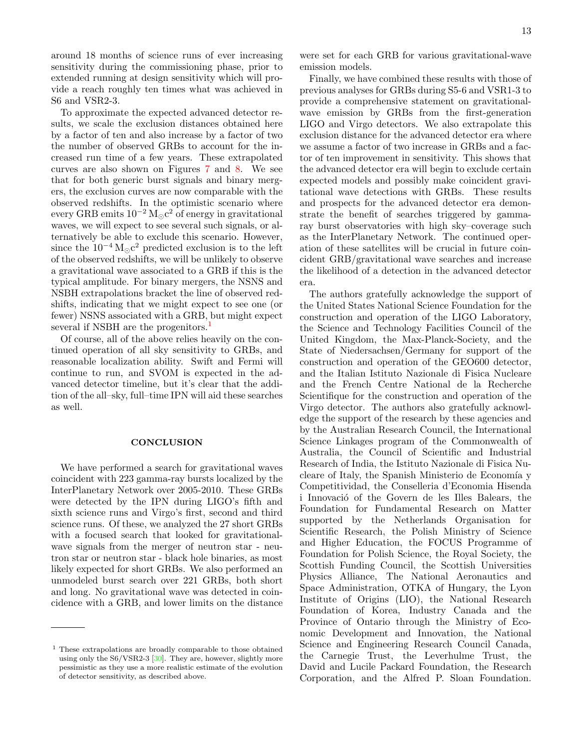around 18 months of science runs of ever increasing sensitivity during the commissioning phase, prior to extended running at design sensitivity which will provide a reach roughly ten times what was achieved in S6 and VSR2-3.

To approximate the expected advanced detector results, we scale the exclusion distances obtained here by a factor of ten and also increase by a factor of two the number of observed GRBs to account for the increased run time of a few years. These extrapolated curves are also shown on Figures [7](#page-11-1) and [8.](#page-11-2) We see that for both generic burst signals and binary mergers, the exclusion curves are now comparable with the observed redshifts. In the optimistic scenario where every GRB emits  $10^{-2} \text{ M}_{\odot} \text{c}^2$  of energy in gravitational waves, we will expect to see several such signals, or alternatively be able to exclude this scenario. However, since the  $10^{-4} M_{\odot} c^2$  predicted exclusion is to the left of the observed redshifts, we will be unlikely to observe a gravitational wave associated to a GRB if this is the typical amplitude. For binary mergers, the NSNS and NSBH extrapolations bracket the line of observed redshifts, indicating that we might expect to see one (or fewer) NSNS associated with a GRB, but might expect several if NSBH are the progenitors.<sup>[1](#page-12-0)</sup>

Of course, all of the above relies heavily on the continued operation of all sky sensitivity to GRBs, and reasonable localization ability. Swift and Fermi will continue to run, and SVOM is expected in the advanced detector timeline, but it's clear that the addition of the all–sky, full–time IPN will aid these searches as well.

# **CONCLUSION**

We have performed a search for gravitational waves coincident with 223 gamma-ray bursts localized by the InterPlanetary Network over 2005-2010. These GRBs were detected by the IPN during LIGO's fifth and sixth science runs and Virgo's first, second and third science runs. Of these, we analyzed the 27 short GRBs with a focused search that looked for gravitationalwave signals from the merger of neutron star - neutron star or neutron star - black hole binaries, as most likely expected for short GRBs. We also performed an unmodeled burst search over 221 GRBs, both short and long. No gravitational wave was detected in coincidence with a GRB, and lower limits on the distance

were set for each GRB for various gravitational-wave emission models.

Finally, we have combined these results with those of previous analyses for GRBs during S5-6 and VSR1-3 to provide a comprehensive statement on gravitationalwave emission by GRBs from the first-generation LIGO and Virgo detectors. We also extrapolate this exclusion distance for the advanced detector era where we assume a factor of two increase in GRBs and a factor of ten improvement in sensitivity. This shows that the advanced detector era will begin to exclude certain expected models and possibly make coincident gravitational wave detections with GRBs. These results and prospects for the advanced detector era demonstrate the benefit of searches triggered by gammaray burst observatories with high sky–coverage such as the InterPlanetary Network. The continued operation of these satellites will be crucial in future coincident GRB/gravitational wave searches and increase the likelihood of a detection in the advanced detector era.

The authors gratefully acknowledge the support of the United States National Science Foundation for the construction and operation of the LIGO Laboratory, the Science and Technology Facilities Council of the United Kingdom, the Max-Planck-Society, and the State of Niedersachsen/Germany for support of the construction and operation of the GEO600 detector, and the Italian Istituto Nazionale di Fisica Nucleare and the French Centre National de la Recherche Scientifique for the construction and operation of the Virgo detector. The authors also gratefully acknowledge the support of the research by these agencies and by the Australian Research Council, the International Science Linkages program of the Commonwealth of Australia, the Council of Scientific and Industrial Research of India, the Istituto Nazionale di Fisica Nucleare of Italy, the Spanish Ministerio de Economía y Competitividad, the Conselleria d'Economia Hisenda i Innovació of the Govern de les Illes Balears, the Foundation for Fundamental Research on Matter supported by the Netherlands Organisation for Scientific Research, the Polish Ministry of Science and Higher Education, the FOCUS Programme of Foundation for Polish Science, the Royal Society, the Scottish Funding Council, the Scottish Universities Physics Alliance, The National Aeronautics and Space Administration, OTKA of Hungary, the Lyon Institute of Origins (LIO), the National Research Foundation of Korea, Industry Canada and the Province of Ontario through the Ministry of Economic Development and Innovation, the National Science and Engineering Research Council Canada, the Carnegie Trust, the Leverhulme Trust, the David and Lucile Packard Foundation, the Research Corporation, and the Alfred P. Sloan Foundation.

<span id="page-12-0"></span><sup>1</sup> These extrapolations are broadly comparable to those obtained using only the S6/VSR2-3 [\[30\]](#page-13-21). They are, however, slightly more pessimistic as they use a more realistic estimate of the evolution of detector sensitivity, as described above.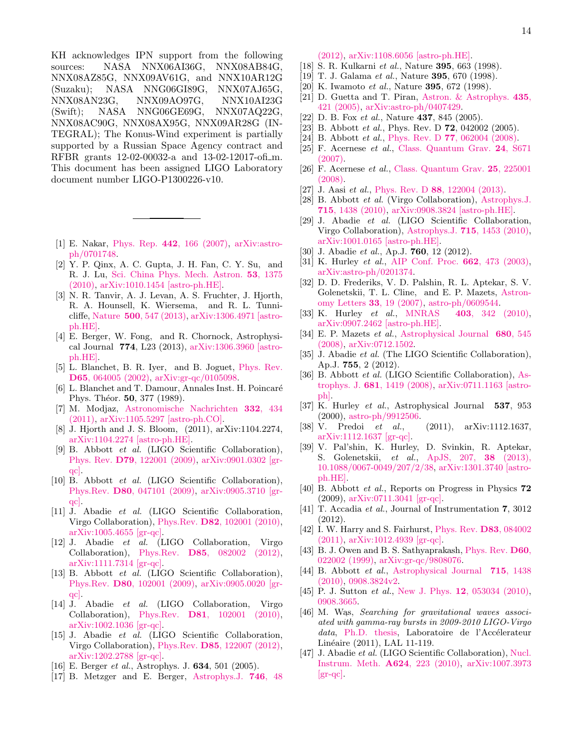KH acknowledges IPN support from the following sources: NASA NNX06AI36G, NNX08AB84G, NNX08AZ85G, NNX09AV61G, and NNX10AR12G (Suzaku); NASA NNG06GI89G, NNX07AJ65G, NNX08AN23G, NNX09AO97G, NNX10AI23G (Swift); NASA NNG06GE69G, NNX07AQ22G, NNX08AC90G, NNX08AX95G, NNX09AR28G (IN-TEGRAL); The Konus-Wind experiment is partially supported by a Russian Space Agency contract and RFBR grants 12-02-00032-a and 13-02-12017-ofi\_m. This document has been assigned LIGO Laboratory document number LIGO-P1300226-v10.

- <span id="page-13-0"></span>[1] E. Nakar, Phys. Rep. 442[, 166 \(2007\),](http://dx.doi.org/10.1016/j.physrep.2007.02.005) [arXiv:astro](http://arxiv.org/abs/astro-ph/0701748)[ph/0701748.](http://arxiv.org/abs/astro-ph/0701748)
- <span id="page-13-1"></span>[2] Y. P. Qinx, A. C. Gupta, J. H. Fan, C. Y. Su, and R. J. Lu, [Sci. China Phys. Mech. Astron.](http://dx.doi.org/ 10.1007/s11433-010-4023-0) 53, 1375 [\(2010\),](http://dx.doi.org/ 10.1007/s11433-010-4023-0) [arXiv:1010.1454 \[astro-ph.HE\].](http://arxiv.org/abs/1010.1454)
- <span id="page-13-2"></span>[3] N. R. Tanvir, A. J. Levan, A. S. Fruchter, J. Hjorth, R. A. Hounsell, K. Wiersema, and R. L. Tunnicliffe, Nature 500[, 547 \(2013\),](http://dx.doi.org/10.1038/nature12505) [arXiv:1306.4971 \[astro](http://arxiv.org/abs/1306.4971)[ph.HE\].](http://arxiv.org/abs/1306.4971)
- <span id="page-13-3"></span>[4] E. Berger, W. Fong, and R. Chornock, Astrophysical Journal 774, L23 (2013), [arXiv:1306.3960 \[astro](http://arxiv.org/abs/1306.3960)[ph.HE\].](http://arxiv.org/abs/1306.3960)
- <span id="page-13-4"></span>[5] L. Blanchet, B. R. Iyer, and B. Joguet, [Phys. Rev.](http://dx.doi.org/10.1103/PhysRevD.65.064005) D65[, 064005 \(2002\),](http://dx.doi.org/10.1103/PhysRevD.65.064005) [arXiv:gr-qc/0105098.](http://arxiv.org/abs/gr-qc/0105098)
- <span id="page-13-5"></span>[6] L. Blanchet and T. Damour, Annales Inst. H. Poincaré Phys. Théor. 50, 377 (1989).
- <span id="page-13-6"></span>[7] M. Modjaz, [Astronomische Nachrichten](http://dx.doi.org/10.1002/asna.201111562) 332, 434 [\(2011\),](http://dx.doi.org/10.1002/asna.201111562) [arXiv:1105.5297 \[astro-ph.CO\].](http://arxiv.org/abs/1105.5297)
- <span id="page-13-7"></span>[8] J. Hjorth and J. S. Bloom, (2011), arXiv:1104.2274, [arXiv:1104.2274 \[astro-ph.HE\].](http://arxiv.org/abs/1104.2274)
- <span id="page-13-8"></span>[9] B. Abbott et al. (LIGO Scientific Collaboration), Phys. Rev. D79[, 122001 \(2009\),](http://dx.doi.org/10.1103/PhysRevD.79.122001) [arXiv:0901.0302 \[gr](http://arxiv.org/abs/0901.0302)[qc\].](http://arxiv.org/abs/0901.0302)
- [10] B. Abbott et al. (LIGO Scientific Collaboration), Phys.Rev. D80[, 047101 \(2009\),](http://dx.doi.org/10.1103/PhysRevD.80.047101) [arXiv:0905.3710 \[gr](http://arxiv.org/abs/0905.3710)[qc\].](http://arxiv.org/abs/0905.3710)
- [11] J. Abadie et al. (LIGO Scientific Collaboration, Virgo Collaboration), Phys.Rev. D82[, 102001 \(2010\),](http://dx.doi.org/ 10.1103/PhysRevD.85.089903, 10.1103/PhysRevD.82.102001) [arXiv:1005.4655 \[gr-qc\].](http://arxiv.org/abs/1005.4655)
- <span id="page-13-9"></span>[12] J. Abadie et al. (LIGO Collaboration, Virgo Collaboration), Phys.Rev. D85[, 082002 \(2012\),](http://dx.doi.org/10.1103/PhysRevD.85.082002) [arXiv:1111.7314 \[gr-qc\].](http://arxiv.org/abs/1111.7314)
- <span id="page-13-10"></span>[13] B. Abbott et al. (LIGO Scientific Collaboration), Phys.Rev. D80[, 102001 \(2009\),](http://dx.doi.org/10.1103/PhysRevD.80.102001) [arXiv:0905.0020 \[gr](http://arxiv.org/abs/0905.0020)[qc\].](http://arxiv.org/abs/0905.0020)
- [14] J. Abadie et al. (LIGO Collaboration, Virgo Collaboration), Phys.Rev. D81[, 102001 \(2010\),](http://dx.doi.org/10.1103/PhysRevD.85.089905, 10.1103/PhysRevD.81.102001) [arXiv:1002.1036 \[gr-qc\].](http://arxiv.org/abs/1002.1036)
- <span id="page-13-11"></span>[15] J. Abadie et al. (LIGO Scientific Collaboration, Virgo Collaboration), Phys.Rev. D85[, 122007 \(2012\),](http://dx.doi.org/ 10.1103/PhysRevD.85.122007) [arXiv:1202.2788 \[gr-qc\].](http://arxiv.org/abs/1202.2788)
- <span id="page-13-12"></span>[16] E. Berger *et al.*, Astrophys. J. **634**, 501 (2005).
- <span id="page-13-13"></span>[17] B. Metzger and E. Berger, [Astrophys.J.](http://dx.doi.org/10.1088/0004-637X/746/1/48) 746, 48

[\(2012\),](http://dx.doi.org/10.1088/0004-637X/746/1/48) [arXiv:1108.6056 \[astro-ph.HE\].](http://arxiv.org/abs/1108.6056)

- <span id="page-13-14"></span>[18] S. R. Kulkarni *et al.*, Nature **395**, 663 (1998).
- [19] T. J. Galama et al., Nature 395, 670 (1998).
- <span id="page-13-15"></span>[20] K. Iwamoto *et al.*, Nature **395**, 672 (1998).
- <span id="page-13-16"></span>[21] D. Guetta and T. Piran, [Astron. & Astrophys.](http://dx.doi.org/10.1051/0004-6361:20041702) 435, [421 \(2005\),](http://dx.doi.org/10.1051/0004-6361:20041702) [arXiv:astro-ph/0407429.](http://arxiv.org/abs/arXiv:astro-ph/0407429)
- <span id="page-13-17"></span>[22] D. B. Fox *et al.*, Nature **437**, 845 (2005).
- <span id="page-13-18"></span>[23] B. Abbott *et al.*, Phys. Rev. D **72**, 042002 (2005).
- [24] B. Abbott *et al.*, Phys. Rev. D **77**[, 062004 \(2008\).](http://dx.doi.org/10.1103/PhysRevD.77.062004)
- [25] F. Acernese et al., [Class. Quantum Grav.](http://stacks.iop.org/0264-9381/24/S671) 24, S671 [\(2007\).](http://stacks.iop.org/0264-9381/24/S671)
- [26] F. Acernese et al., [Class. Quantum Grav.](http://stacks.iop.org/0264-9381/25/225001) 25, 225001 [\(2008\).](http://stacks.iop.org/0264-9381/25/225001)
- <span id="page-13-19"></span>[27] J. Aasi *et al.*, Phys. Rev. D **88**[, 122004 \(2013\).](http://dx.doi.org/10.1103/PhysRevD.88.122004)
- <span id="page-13-20"></span>[28] B. Abbott *et al.* (Virgo Collaboration), [Astrophys.J.](http://dx.doi.org/10.1088/0004-637X/715/2/1438) 715[, 1438 \(2010\),](http://dx.doi.org/10.1088/0004-637X/715/2/1438) [arXiv:0908.3824 \[astro-ph.HE\].](http://arxiv.org/abs/0908.3824)
- <span id="page-13-39"></span>[29] J. Abadie et al. (LIGO Scientific Collaboration, Virgo Collaboration), Astrophys.J. 715[, 1453 \(2010\),](http://dx.doi.org/ 10.1088/0004-637X/715/2/1453) [arXiv:1001.0165 \[astro-ph.HE\].](http://arxiv.org/abs/1001.0165)
- <span id="page-13-21"></span>[30] J. Abadie *et al.*, Ap.J. **760**, 12 (2012).
- <span id="page-13-22"></span>[31] K. Hurley *et al.*, [AIP Conf. Proc.](http://dx.doi.org/10.1063/1.1579405) **662**, 473 (2003), [arXiv:astro-ph/0201374.](http://arxiv.org/abs/astro-ph/0201374)
- <span id="page-13-23"></span>[32] D. D. Frederiks, V. D. Palshin, R. L. Aptekar, S. V. Golenetskii, T. L. Cline, and E. P. Mazets, [Astron](http://dx.doi.org/10.1134/S1063773707010021)[omy Letters](http://dx.doi.org/10.1134/S1063773707010021) 33, 19 (2007), [astro-ph/0609544.](http://arxiv.org/abs/astro-ph/0609544)
- <span id="page-13-24"></span>[33] K. Hurley *et al.*, MNRAS **403**[, 342 \(2010\),](http://dx.doi.org/10.1111/j.1365-2966.2009.16118.x) [arXiv:0907.2462 \[astro-ph.HE\].](http://arxiv.org/abs/0907.2462)
- <span id="page-13-25"></span>[34] E. P. Mazets *et al.*, [Astrophysical Journal](http://dx.doi.org/10.1086/587955) 680, 545 [\(2008\),](http://dx.doi.org/10.1086/587955) [arXiv:0712.1502.](http://arxiv.org/abs/0712.1502)
- <span id="page-13-26"></span>[35] J. Abadie et al. (The LIGO Scientific Collaboration), Ap.J. 755, 2 (2012).
- <span id="page-13-27"></span>[36] B. Abbott et al. (LIGO Scientific Collaboration), [As](http://dx.doi.org/10.1086/587954)trophys. J. 681[, 1419 \(2008\),](http://dx.doi.org/10.1086/587954) [arXiv:0711.1163 \[astro](http://arxiv.org/abs/0711.1163)[ph\].](http://arxiv.org/abs/0711.1163)
- <span id="page-13-28"></span>[37] K. Hurley et al., Astrophysical Journal 537, 953 (2000), [astro-ph/9912506.](http://arxiv.org/abs/astro-ph/9912506)
- <span id="page-13-29"></span>[38] V. Predoi et al., (2011), arXiv:1112.1637, [arXiv:1112.1637 \[gr-qc\].](http://arxiv.org/abs/1112.1637)
- <span id="page-13-30"></span>[39] V. Pal'shin, K. Hurley, D. Svinkin, R. Aptekar, S. Golenetskii, et al., [ApJS, 207,](http://dx.doi.org/10.1088/0067-0049/207/2/38) 38 (2013), [10.1088/0067-0049/207/2/38,](http://dx.doi.org/10.1088/0067-0049/207/2/38) [arXiv:1301.3740 \[astro](http://arxiv.org/abs/1301.3740)[ph.HE\].](http://arxiv.org/abs/1301.3740)
- <span id="page-13-31"></span>[40] B. Abbott et al., Reports on Progress in Physics 72 (2009), [arXiv:0711.3041 \[gr-qc\].](http://arxiv.org/abs/0711.3041)
- <span id="page-13-32"></span>[41] T. Accadia et al., Journal of Instrumentation 7, 3012 (2012).
- <span id="page-13-33"></span>[42] I. W. Harry and S. Fairhurst, *[Phys. Rev.](http://dx.doi.org/10.1103/PhysRevD.83.084002)* **D83**, 084002 [\(2011\),](http://dx.doi.org/10.1103/PhysRevD.83.084002) [arXiv:1012.4939 \[gr-qc\].](http://arxiv.org/abs/1012.4939)
- <span id="page-13-34"></span>[43] B. J. Owen and B. S. Sathyaprakash, [Phys. Rev.](http://dx.doi.org/10.1103/PhysRevD.60.022002) D60, [022002 \(1999\),](http://dx.doi.org/10.1103/PhysRevD.60.022002) [arXiv:gr-qc/9808076.](http://arxiv.org/abs/gr-qc/9808076)
- <span id="page-13-35"></span>[44] B. Abbott et al., [Astrophysical Journal](http://dx.doi.org/10.1088/0004-637X/715/2/1438) 715, 1438 [\(2010\),](http://dx.doi.org/10.1088/0004-637X/715/2/1438) [0908.3824v2.](http://arxiv.org/abs/0908.3824v2)
- <span id="page-13-36"></span>[45] P. J. Sutton *et al.*, New J. Phys. **12**[, 053034 \(2010\),](http://dx.doi.org/10.1088/1367-2630/12/5/053034) [0908.3665.](http://arxiv.org/abs/0908.3665)
- <span id="page-13-37"></span> $[46]$  M. Was, *Searching for gravitational waves associ*ated with gamma-ray bursts in 2009-2010 LIGO-Virgo  $data$ , [Ph.D. thesis,](http://tel.archives-ouvertes.fr/tel-00610302/fr/) Laboratoire de l'Accélerateur Linéaire (2011), LAL 11-119.
- <span id="page-13-38"></span>[47] J. Abadie et al. (LIGO Scientific Collaboration), [Nucl.](http://dx.doi.org/10.1016/j.nima.2010.07.089) [Instrum. Meth.](http://dx.doi.org/10.1016/j.nima.2010.07.089) A624, 223 (2010), [arXiv:1007.3973](http://arxiv.org/abs/1007.3973)  $\left[\text{gr-qc}\right]$ .